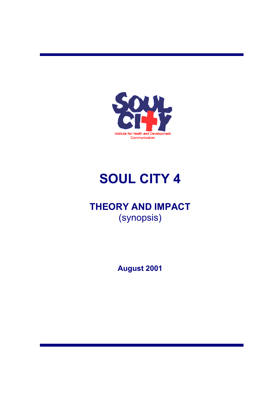

# **SOUL CITY 4**

## **THEORY AND IMPACT**  (synopsis)

**August 2001**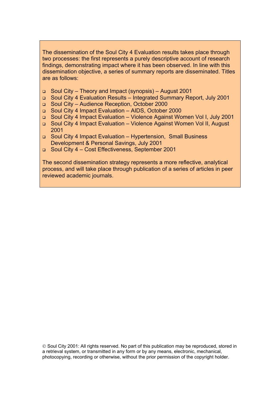The dissemination of the Soul City 4 Evaluation results takes place through two processes: the first represents a purely descriptive account of research findings, demonstrating impact where it has been observed. In line with this dissemination objective, a series of summary reports are disseminated. Titles are as follows:

- Soul City Theory and Impact (synopsis) August 2001
- Soul City 4 Evaluation Results Integrated Summary Report, July 2001
- Soul City Audience Reception, October 2000
- Soul City 4 Impact Evaluation AIDS, October 2000
- Soul City 4 Impact Evaluation Violence Against Women Vol I, July 2001
- Soul City 4 Impact Evaluation Violence Against Women Vol II, August 2001
- Soul City 4 Impact Evaluation Hypertension, Small Business Development & Personal Savings, July 2001
- Soul City 4 Cost Effectiveness, September 2001

The second dissemination strategy represents a more reflective, analytical process, and will take place through publication of a series of articles in peer reviewed academic journals.

 $\odot$  Soul City 2001: All rights reserved. No part of this publication may be reproduced, stored in a retrieval system, or transmitted in any form or by any means, electronic, mechanical, photocopying, recording or otherwise, without the prior permission of the copyright holder.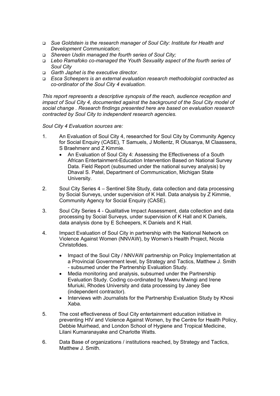- *Sue Goldstein is the research manager of Soul City: Institute for Health and Development Communication;*
- *Shereen Usdin managed the fourth series of Soul City;*
- *Lebo Ramafoko co-managed the Youth Sexuality aspect of the fourth series of Soul City*
- *Garth Japhet is the executive director.*
- *Esca Scheepers is an external evaluation research methodologist contracted as co-ordinator of the Soul City 4 evaluation.*

*This report represents a descriptive synopsis of the reach, audience reception and impact of Soul City 4, documented against the background of the Soul City model of social change . Research findings presented here are based on evaluation research contracted by Soul City to independent research agencies.* 

*Soul City 4 Evaluation sources are:* 

- 1. An Evaluation of Soul City 4, researched for Soul City by Community Agency for Social Enquiry (CASE), T Samuels, J Mollentz, R Olusanya, M Claassens, S Braehmenr and Z Kimmie.
	- An Evaluation of Soul City 4: Assessing the Effectiveness of a South African Entertainment-Education Intervention Based on National Survey Data. Field Report (subsumed under the national survey analysis) by Dhaval S. Patel, Department of Communication, Michigan State University.
- 2. Soul City Series 4 Sentinel Site Study, data collection and data processing by Social Surveys, under supervision of K Hall. Data analysis by Z Kimmie, Community Agency for Social Enquiry (CASE).
- 3. Soul City Series 4 Qualitative Impact Assessment, data collection and data processing by Social Surveys, under supervision of K Hall and K Daniels, data analysis done by E Scheepers, K Daniels and K Hall.
- 4. Impact Evaluation of Soul City in partnership with the National Network on Violence Against Women (NNVAW), by Women's Health Project, Nicola Christofides.
	- Impact of the Soul City / NNVAW partnership on Policy Implementation at a Provincial Government level, by Strategy and Tactics, Matthew J. Smith - subsumed under the Partnership Evaluation Study.
	- Media monitoring and analysis, subsumed under the Partnership Evaluation Study. Coding co-ordinated by Mweru Mwingi and Irene Muriuki, Rhodes University and data processing by Janey See (independent contractor).
	- Interviews with Journalists for the Partnership Evaluation Study by Khosi Xaba.
- 5. The cost effectiveness of Soul City entertainment education initiative in preventing HIV and Violence Against Women, by the Centre for Health Policy, Debbie Muirhead, and London School of Hygiene and Tropical Medicine, Lilani Kumaranayake and Charlotte Watts.
- 6. Data Base of organizations / institutions reached, by Strategy and Tactics, Matthew J. Smith.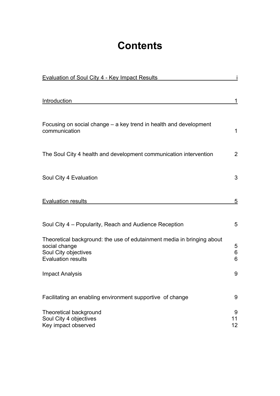# **Contents**

| <b>Evaluation of Soul City 4 - Key Impact Results</b>                                                                                        |                            |
|----------------------------------------------------------------------------------------------------------------------------------------------|----------------------------|
| Introduction                                                                                                                                 | 1                          |
|                                                                                                                                              |                            |
| Focusing on social change – a key trend in health and development<br>communication                                                           | 1                          |
| The Soul City 4 health and development communication intervention                                                                            | $\overline{2}$             |
|                                                                                                                                              |                            |
| Soul City 4 Evaluation                                                                                                                       | 3                          |
| <b>Evaluation results</b>                                                                                                                    | 5                          |
|                                                                                                                                              |                            |
| Soul City 4 – Popularity, Reach and Audience Reception                                                                                       | 5                          |
| Theoretical background: the use of edutainment media in bringing about<br>social change<br>Soul City objectives<br><b>Evaluation results</b> | 5<br>6<br>6                |
| <b>Impact Analysis</b>                                                                                                                       | 9                          |
| Facilitating an enabling environment supportive of change                                                                                    | 9                          |
| <b>Theoretical background</b><br>Soul City 4 objectives<br>Key impact observed                                                               | 9<br>11<br>12 <sub>2</sub> |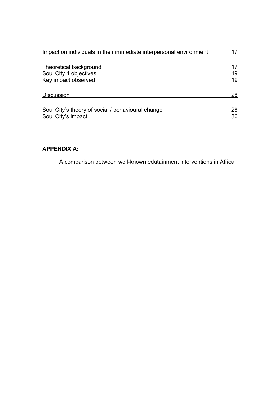| Impact on individuals in their immediate interpersonal environment |    |  |  |  |  |
|--------------------------------------------------------------------|----|--|--|--|--|
| Theoretical background                                             | 17 |  |  |  |  |
| Soul City 4 objectives                                             | 19 |  |  |  |  |
| Key impact observed                                                | 19 |  |  |  |  |
| <b>Discussion</b>                                                  | 28 |  |  |  |  |
| Soul City's theory of social / behavioural change                  | 28 |  |  |  |  |
| Soul City's impact                                                 | 30 |  |  |  |  |

### **APPENDIX A:**

A comparison between well-known edutainment interventions in Africa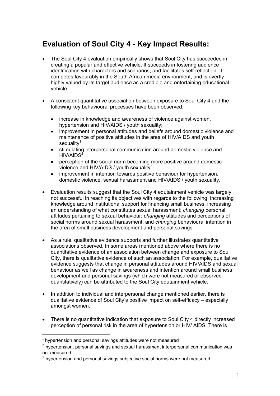### <span id="page-5-0"></span>**Evaluation of Soul City 4 - Key Impact Results:**

- The Soul City 4 evaluation empirically shows that Soul City has succeeded in creating a popular and effective vehicle. It succeeds in fostering audience identification with characters and scenarios, and facilitates self-reflection. It competes favourably in the South African media environment, and is overtly highly valued by its target audience as a credible and entertaining educational vehicle.
- A consistent quantitative association between exposure to Soul City 4 and the following key behavioural processes have been observed:
	- increase in knowledge and awareness of violence against women, hypertension and HIV/AIDS / youth sexuality;
	- improvement in personal attitudes and beliefs around domestic violence and maintenance of positive attitudes in the area of HIV/AIDS and youth sexuality<sup>[1](#page-5-1)</sup>;
	- stimulating interpersonal communication around domestic violence and  $HIV/AIDS<sup>2</sup>$  $HIV/AIDS<sup>2</sup>$  $HIV/AIDS<sup>2</sup>$
	- perception of the social norm becoming more positive around domestic violence and HIV/AIDS / youth sexuality $3$
	- improvement in intention towards positive behaviour for hypertension. domestic violence, sexual harassment and HIV/AIDS / youth sexuality.
- Evaluation results suggest that the Soul City 4 edutainment vehicle was largely not successful in reaching its objectives with regards to the following: increasing knowledge around institutional support for financing small business; increasing an understanding of what constitutes sexual harassment; *changing* personal attitudes pertaining to sexual behaviour; *changing* attitudes and perceptions of social norms around sexual harassment; and *changing* behavioural intention in the area of small business development and personal savings.
- As a rule, qualitative evidence supports and further illustrates quantitative associations observed. In some areas mentioned above where there is no quantitative evidence of an association between change and exposure to Soul City, there is qualitative evidence of such an association. For example, qualitative evidence suggests that change in personal attitudes around HIV/AIDS and sexual behaviour as well as change in awareness and intention around small business development and personal savings (which were not measured or observed quantitatively) can be attributed to the Soul City edutainment vehicle.
- In addition to individual and interpersonal change mentioned earlier, there is qualitative evidence of Soul City's positive impact on self-efficacy – especially amongst women.
- There is no quantitative indication that exposure to Soul City 4 directly increased perception of personal risk in the area of hypertension or HIV/ AIDS. There is

<span id="page-5-1"></span> $1$  hypertension and personal savings attitudes were not measured

<span id="page-5-2"></span><sup>&</sup>lt;sup>2</sup> hypertension, personal savings and sexual harassment interpersonal communication was not measured

<span id="page-5-3"></span><sup>&</sup>lt;sup>3</sup> hypertension and personal savings subjective social norms were not measured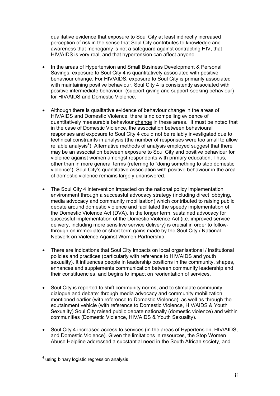qualitative evidence that exposure to Soul City at least indirectly increased perception of risk in the sense that Soul City contributes to knowledge and awareness that monogamy is not a safeguard against contracting HIV, that HIV/AIDS is very real, and that hypertension can affect anyone.

- In the areas of Hypertension and Small Business Development & Personal Savings, exposure to Soul City 4 is quantitatively associated with positive behaviour change. For HIV/AIDS, exposure to Soul City is primarily associated with maintaining positive behaviour. Soul City 4 is consistently associated with positive intermediate behaviour (support-giving and support-seeking behaviour) for HIV/AIDS and Domestic Violence.
- Although there is qualitative evidence of behaviour change in the areas of HIV/AIDS and Domestic Violence, there is no compelling evidence of quantitatively measurable behaviour change in these areas. It must be noted that in the case of Domestic Violence, the association between behavioural responses and exposure to Soul City 4 could not be reliably investigated due to technical constraints in analysis (the number of responses were too small to allow reliable analysis<sup>[4](#page-6-0)</sup>). Alternative methods of analysis employed suggest that there may be an association between exposure to Soul City and positive behaviour for violence against women amongst respondents with primary education. Thus, other than in more general terms (referring to "doing something to stop domestic violence"), Soul City's quantitative association with positive behaviour in the area of domestic violence remains largely unanswered.
- The Soul City 4 intervention impacted on the national policy implementation environment through a successful advocacy strategy (including direct lobbying, media advocacy and community mobilisation) which contributed to raising public debate around domestic violence and facilitated the speedy implementation of the Domestic Violence Act (DVA). In the longer term, sustained advocacy for successful implementation of the Domestic Violence Act (i.e. improved service delivery, including more sensitive service delivery) is crucial in order to followthrough on immediate or short term gains made by the Soul City / National Network on Violence Against Women Partnership.
- There are indications that Soul City impacts on local organisational / institutional policies and practices (particularly with reference to HIV/AIDS and youth sexuality). It influences people in leadership positions in the community, shapes, enhances and supplements communication between community leadership and their constituencies, and begins to impact on reorientation of services.
- Soul City is reported to shift community norms, and to stimulate community dialogue and debate: through media advocacy and community mobilization mentioned earlier (with reference to Domestic Violence), as well as through the edutainment vehicle (with reference to Domestic Violence, HIV/AIDS & Youth Sexuality) Soul City raised public debate nationally (domestic violence) and within communities (Domestic Violence, HIV/AIDS & Youth Sexuality).
- Soul City 4 increased access to services (in the areas of Hypertension, HIV/AIDS, and Domestic Violence). Given the limitations in resources, the Stop Women Abuse Helpline addressed a substantial need in the South African society, and

<span id="page-6-0"></span> $\overline{a}$ <sup>4</sup> using binary logistic regression analysis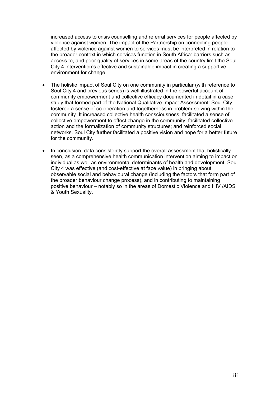increased access to crisis counselling and referral services for people affected by violence against women. The impact of the Partnership on connecting people affected by violence against women to services must be interpreted in relation to the broader context in which services function in South Africa: barriers such as access to, and poor quality of services in some areas of the country limit the Soul City 4 intervention's effective and sustainable impact in creating a supportive environment for change.

- The holistic impact of Soul City on one community in particular (with reference to Soul City 4 and previous series) is well illustrated in the powerful account of community empowerment and collective efficacy documented in detail in a case study that formed part of the National Qualitative Impact Assessment: Soul City fostered a sense of co-operation and togetherness in problem-solving within the community. It increased collective health consciousness; facilitated a sense of collective empowerment to effect change in the community; facilitated collective action and the formalization of community structures; and reinforced social networks. Soul City further facilitated a positive vision and hope for a better future for the community.
- In conclusion, data consistently support the overall assessment that holistically seen, as a comprehensive health communication intervention aiming to impact on individual as well as environmental determinants of health and development, Soul City 4 was effective (and cost-effective at face value) in bringing about observable social and behavioural change (including the factors that form part of the broader behaviour change process), and in contributing to maintaining positive behaviour – notably so in the areas of Domestic Violence and HIV /AIDS & Youth Sexuality.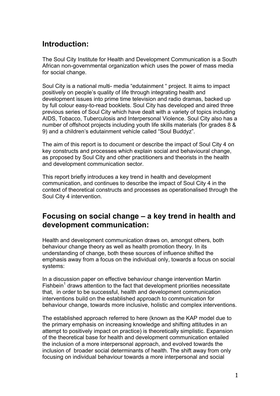### <span id="page-8-0"></span>**Introduction:**

The Soul City Institute for Health and Development Communication is a South African non-governmental organization which uses the power of mass media for social change.

Soul City is a national multi- media "edutainment " project. It aims to impact positively on people's quality of life through integrating health and development issues into prime time television and radio dramas, backed up by full colour easy-to-read booklets. Soul City has developed and aired three previous series of Soul City which have dealt with a variety of topics including AIDS, Tobacco, Tuberculosis and Interpersonal Violence. Soul City also has a number of offshoot projects including youth life skills materials (for grades 8 & 9) and a children's edutainment vehicle called "Soul Buddyz".

The aim of this report is to document or describe the impact of Soul City 4 on key constructs and processes which explain social and behavioural change, as proposed by Soul City and other practitioners and theorists in the health and development communication sector.

This report briefly introduces a key trend in health and development communication, and continues to describe the impact of Soul City 4 in the context of theoretical constructs and processes as operationalised through the Soul City 4 intervention.

### **Focusing on social change – a key trend in health and development communication:**

Health and development communication draws on, amongst others, both behaviour change theory as well as health promotion theory. In its understanding of change, both these sources of influence shifted the emphasis away from a focus on the individual only, towards a focus on social systems:

In a discussion paper on effective behaviour change intervention Martin Fishbein<sup>[1](#page--1-0)</sup> draws attention to the fact that development priorities necessitate that, in order to be successful, health and development communication interventions build on the established approach to communication for behaviour change, towards more inclusive, holistic and complex interventions.

The established approach referred to here (known as the KAP model due to the primary emphasis on increasing knowledge and shifting attitudes in an attempt to positively impact on practice) is theoretically simplistic. Expansion of the theoretical base for health and development communication entailed the inclusion of a more interpersonal approach, and evolved towards the inclusion of broader social determinants of health. The shift away from only focusing on individual behaviour towards a more interpersonal and social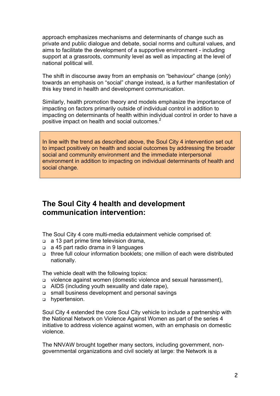<span id="page-9-0"></span>approach emphasizes mechanisms and determinants of change such as private and public dialogue and debate, social norms and cultural values, and aims to facilitate the development of a supportive environment - including support at a grassroots, community level as well as impacting at the level of national political will.

The shift in discourse away from an emphasis on "behaviour" change (only) towards an emphasis on "social" change instead, is a further manifestation of this key trend in health and development communication.

Similarly, health promotion theory and models emphasize the importance of impacting on factors primarily outside of individual control in addition to impacting on determinants of health within individual control in order to have a positive impact on health and social outcomes. $2$ 

In line with the trend as described above, the Soul City 4 intervention set out to impact positively on health and social outcomes by addressing the broader social and community environment and the immediate interpersonal environment in addition to impacting on individual determinants of health and social change.

### **The Soul City 4 health and development communication intervention:**

The Soul City 4 core multi-media edutainment vehicle comprised of:

- a 13 part prime time television drama,
- a 45 part radio drama in 9 languages
- three full colour information booklets; one million of each were distributed nationally.

The vehicle dealt with the following topics:

- violence against women (domestic violence and sexual harassment),
- AIDS (including youth sexuality and date rape),
- small business development and personal savings
- hypertension.

Soul City 4 extended the core Soul City vehicle to include a partnership with the National Network on Violence Against Women as part of the series 4 initiative to address violence against women, with an emphasis on domestic violence.

The NNVAW brought together many sectors, including government, nongovernmental organizations and civil society at large: the Network is a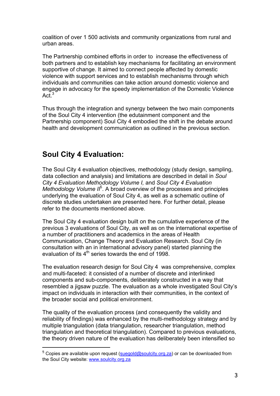<span id="page-10-0"></span>coalition of over 1 500 activists and community organizations from rural and urban areas.

The Partnership combined efforts in order to increase the effectiveness of both partners and to establish key mechanisms for facilitating an environment supportive of change. It aimed to connect people affected by domestic violence with support services and to establish mechanisms through which individuals and communities can take action around domestic violence and engage in advocacy for the speedy implementation of the Domestic Violence Act. $3$ 

Thus through the integration and synergy between the two main components of the Soul City 4 intervention (the edutainment component and the Partnership component) Soul City 4 embodied the shift in the debate around health and development communication as outlined in the previous section.

### **Soul City 4 Evaluation:**

 $\overline{a}$ 

The Soul City 4 evaluation objectives, methodology (study design, sampling, data collection and analysis) and limitations are described in detail in *Soul City 4 Evaluation Methodology Volume I,* and *Soul City 4 Evaluation*  Methodology Volume II<sup>[5](#page-10-1)</sup>. A broad overview of the processes and principles underlying the evaluation of Soul City 4, as well as a schematic outline of discrete studies undertaken are presented here. For further detail, please refer to the documents mentioned above.

The Soul City 4 evaluation design built on the cumulative experience of the previous 3 evaluations of Soul City, as well as on the international expertise of a number of practitioners and academics in the areas of Health Communication, Change Theory and Evaluation Research. Soul City (in consultation with an in international advisory panel) started planning the evaluation of its  $4<sup>th</sup>$  series towards the end of 1998.

The evaluation research design for Soul City 4 was comprehensive, complex and multi-faceted: it consisted of a number of discrete and interlinked components and sub-components, deliberately constructed in a way that resembled a jigsaw puzzle. The evaluation as a whole investigated Soul City's impact on individuals in interaction with their communities, in the context of the broader social and political environment.

The quality of the evaluation process (and consequently the validity and reliability of findings) was enhanced by the multi-methodology strategy and by multiple triangulation (data triangulation, researcher triangulation, method triangulation and theoretical triangulation). Compared to previous evaluations, the theory driven nature of the evaluation has deliberately been intensified so

<span id="page-10-1"></span> $5$  Copies are available upon request [\(suegold@soulcity.org.za\)](mailto:suegold@soulcity.org.za) or can be downloaded from the Soul City website: [www.soulcity.org.za](http://www.soulcity.org.za/)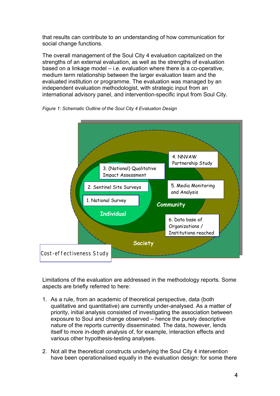that results can contribute to an understanding of how communication for social change functions.

The overall management of the Soul City 4 evaluation capitalized on the strengths of an external evaluation, as well as the strengths of evaluation based on a linkage model – i.e. evaluation where there is a co-operative, medium term relationship between the larger evaluation team and the evaluated institution or programme. The evaluation was managed by an independent evaluation methodologist, with strategic input from an international advisory panel, and intervention-specific input from Soul City.



*Figure 1: Schematic Outline of the Soul City 4 Evaluation Design* 

Limitations of the evaluation are addressed in the methodology reports. Some aspects are briefly referred to here:

- 1. As a rule, from an academic of theoretical perspective, data (both qualitative and quantitative) are currently under-analysed. As a matter of priority, initial analysis consisted of investigating the association between exposure to Soul and change observed – hence the purely descriptive nature of the reports currently disseminated. The data, however, lends itself to more in-depth analysis of, for example, interaction effects and various other hypothesis-testing analyses.
- 2. Not all the theoretical constructs underlying the Soul City 4 intervention have been operationalised equally in the evaluation design: for some there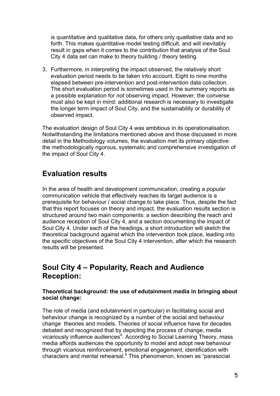<span id="page-12-0"></span>is quantitative and qualitative data, for others only qualitative data and so forth. This makes quantitative model testing difficult, and will inevitably result in gaps when it comes to the contribution that analysis of the Soul City 4 data set can make to theory building / theory testing.

3. Furthermore, in interpreting the impact observed, the relatively short evaluation period needs to be taken into account. Eight to nine months elapsed between pre-intervention and post-intervention data collection. The short evaluation period is sometimes used in the summary reports as a possible explanation for *not* observing impact. However, the converse must also be kept in mind: additional research is necessary to investigate the longer term impact of Soul City, and the sustainability or durability of observed impact.

The evaluation design of Soul City 4 was ambitious in its operationalisation. Notwithstanding the limitations mentioned above and those discussed in more detail in the Methodology volumes, the evaluation met its primary objective: the methodologically rigorous, systematic and comprehensive investigation of the impact of Soul City 4.

### **Evaluation results**

In the area of health and development communication, creating a *popular* communication vehicle that effectively reaches its target audience is a prerequisite for behaviour / social change to take place. Thus, despite the fact that this report focuses on theory and impact, the evaluation results section is structured around two main components: a section describing the reach and audience reception of Soul City 4, and a section documenting the impact of Soul City 4. Under each of the headings, a short introduction will sketch the theoretical background against which the intervention took place, leading into the specific objectives of the Soul City 4 intervention, after which the research results will be presented.

### **Soul City 4 – Popularity, Reach and Audience Reception:**

#### **Theoretical background: the use of edutainment media in bringing about social change:**

The role of media (and edutainment in particular) in facilitating social and behaviour change is recognized by a number of the social and behaviour change theories and models. Theories of social influence have for decades debated and recognized that by depicting the process of change, media vicariously influence audiences<sup>[4](#page--1-3)</sup>. According to Social Learning Theory, mass media affords audiences the opportunity to model and adopt new behaviour through vicarious reinforcement, emotional engagement, identification with characters and mental rehearsal.<sup>[5](#page--1-4)</sup> This phenomenon, known as "parasocial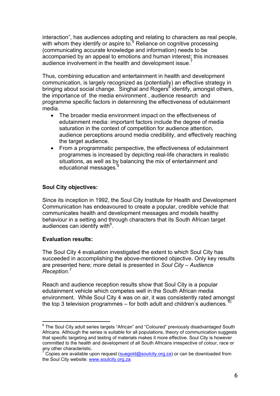<span id="page-13-0"></span>interaction", has audiences adopting and relating to characters as real people, with whom they identify or aspire to.<sup>[6](#page--1-5)</sup> Reliance on cognitive processing (communicating accurate knowledge and information) needs to be accompanied by an appeal to emotions and human interest; this increases audience involvement in the health and development issue.<sup>[7](#page--1-6)</sup>

Thus, combining education and entertainment in health and development communication, is largely recognized as (potentially) an effective strategy in bringing about social change. Singhal and Rogers<sup>[8](#page--1-7)</sup> identify, amongst others, the importance of the media environment , audience research and programme specific factors in determining the effectiveness of edutainment media.

- The broader media environment impact on the effectiveness of edutainment media: important factors include the degree of media saturation in the context of competition for audience attention, audience perceptions around media credibility, and effectively reaching the target audience.
- From a programmatic perspective, the effectiveness of edutainment programmes is increased by depicting real-life characters in realistic situations, as well as by balancing the mix of entertainment and educational messages.<sup>[9](#page--1-8)</sup>

#### **Soul City objectives:**

Since its inception in 1992, the Soul City Institute for Health and Development Communication has endeavoured to create a popular, credible vehicle that communicates health and development messages and models healthy behaviour in a setting and through characters that its South African target audiences can identify with<sup>6</sup>.

#### **Evaluation results:**

 $\overline{a}$ 

The Soul City 4 evaluation investigated the extent to which Soul City has succeeded in accomplishing the above-mentioned objective. Only key results are presented here; more detail is presented in *Soul City – Audience Reception.[7](#page-13-2)*

Reach and audience reception results show that Soul City is a popular edutainment vehicle which competes well in the South African media environment. While Soul City 4 was on air, it was consistently rated amongst the top 3 television programmes – for both adult and children's audiences.

<span id="page-13-1"></span><sup>&</sup>lt;sup>6</sup> The Soul City adult series targets "African" and "Coloured" previously disadvantaged South Africans. Although the series is suitable for all populations, theory of communication suggests that specific targeting and testing of materials makes it more effective. Soul City is however committed to the health and development of all South Africans irrespective of colour, race or any other characteristic.

<span id="page-13-2"></span><sup>&</sup>lt;sup>7</sup> Copies are available upon request ([suegold@soulcity.org.za](mailto:suegold@soulcity.org.za)) or can be downloaded from the Soul City website: [www.soulcity.org.za](http://www.soulcity.org.za/)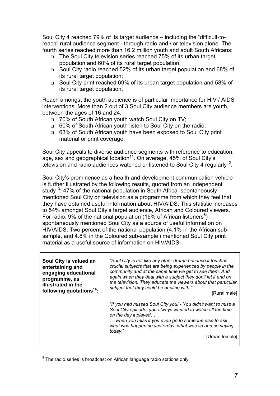Soul City 4 reached 79% of its target audience – including the "difficult-toreach" rural audience segment - through radio and / or television alone. The fourth series reached more than 16,2 million youth and adult South Africans:

- The Soul City television series reached 75% of its urban target population and 60% of its rural target population;
- Soul City radio reached 52% of its urban target population and 68% of its rural target population;
- Soul City print reached 69% of its urban target population and 58% of its rural target population.

Reach amongst the youth audience is of particular importance for HIV / AIDS interventions. More than 2 out of 3 Soul City audience members are youth, between the ages of 16 and 24:

- 70% of South African youth watch Soul City on TV;
- 60% of South African youth listen to Soul City on the radio;
- 63% of South African youth have been exposed to Soul City print material or print coverage.

Soul City appeals to diverse audience segments with reference to education, age, sex and geographical location<sup>11</sup>. On average, 45% of Soul City's television and radio audiences watched or listened to Soul City 4 regularly<sup>12</sup>.

Soul City's prominence as a health and development communication vehicle is further illustrated by the following results, quoted from an independent study<sup>13</sup>: 47% of the national population in South Africa spontaneously mentioned Soul City on television as a programme from which they feel that they have obtained useful information about HIV/AIDS. This statistic increases to 54% amongst Soul City's target audience, African and Coloured viewers. For radio, 9% of the national population (15% of African listeners<sup>[8](#page-14-0)</sup>) spontaneously mentioned Soul City as a source of useful information on HIV/AIDS. Two percent of the national population (4.1% in the African subsample, and 4.8% in the Coloured sub-sample ) mentioned Soul City print material as a useful source of information on HIV/AIDS.

| Soul City is valued an<br>entertaining and<br>engaging educational<br>programme, as<br>illustrated in the<br>following quotations <sup>14</sup> : | "Soul City is not like any other drama because it touches<br>crucial subjects that are being experienced by people in the<br>community and at the same time we get to see them. And<br>again when they deal with a subject they don't let it end on<br>the television. They educate the viewers about that particular<br>subject that they could be dealing with."<br>[Rural male] |
|---------------------------------------------------------------------------------------------------------------------------------------------------|------------------------------------------------------------------------------------------------------------------------------------------------------------------------------------------------------------------------------------------------------------------------------------------------------------------------------------------------------------------------------------|
|                                                                                                                                                   | "If you had missed Soul City you! - You didn't want to miss a<br>Soul City episode, you always wanted to watch all the time<br>on the day it played<br>when you miss it you even go to someone else to ask<br>what was happening yesterday, what was so and so saying<br>today."<br>[Urban female]                                                                                 |

<span id="page-14-0"></span> 8 The radio series is broadcast on African language radio stations only.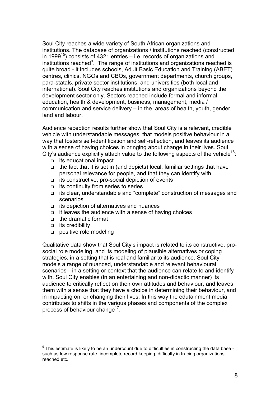Soul City reaches a wide variety of South African organizations and institutions. The database of organizations / institutions reached (constructed in 1999<sup>15</sup>) consists of 4321 entries  $-$  i.e. records of organizations and institutions reached $9$ . The range of institutions and organizations reached is quite broad - it includes schools, Adult Basic Education and Training (ABET) centres, clinics, NGOs and CBOs, government departments, church groups, para-statals, private sector institutions, and universities (both local and international). Soul City reaches institutions and organizations beyond the development sector only. Sectors reached include formal and informal education, health & development, business, management, media / communication and service delivery – in the areas of health, youth, gender, land and labour.

Audience reception results further show that Soul City is a relevant, credible vehicle with understandable messages, that models positive behaviour in a way that fosters self-identification and self-reflection, and leaves its audience with a sense of having choices in bringing about change in their lives. Soul City's audience explicitly attach value to the following aspects of the vehicle<sup>16</sup>:

- its educational impact
- $\Box$  the fact that it is set in (and depicts) local, familiar settings that have personal relevance for people, and that they can identify with
- $\Box$  its constructive, pro-social depiction of events
- $\Box$  its continuity from series to series
- its clear, understandable and "complete" construction of messages and scenarios
- its depiction of alternatives and nuances
- $\Box$  it leaves the audience with a sense of having choices
- the dramatic format
- $\Box$  its credibility

 $\overline{a}$ 

positive role modeling

Qualitative data show that Soul City's impact is related to its constructive, prosocial role modeling, and its modeling of plausible alternatives or coping strategies, in a setting that is real and familiar to its audience. Soul City models a range of nuanced, understandable and relevant behavioural scenarios—in a setting or context that the audience can relate to and identify with. Soul City enables (in an entertaining and non-didactic manner) its audience to critically reflect on their own attitudes and behaviour, and leaves them with a sense that they have a choice in determining their behaviour, and in impacting on, or changing their lives. In this way the edutainment media contributes to shifts in the various phases and components of the complex process of behaviour change<sup>17</sup>.

<span id="page-15-0"></span> $9$  This estimate is likely to be an undercount due to difficulties in constructing the data base such as low response rate, incomplete record keeping, difficulty in tracing organizations reached etc.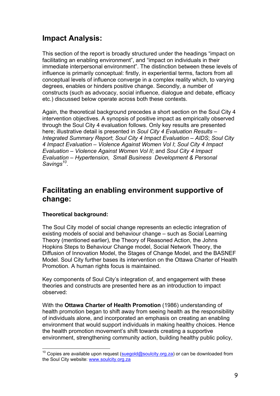### <span id="page-16-0"></span>**Impact Analysis:**

This section of the report is broadly structured under the headings "impact on facilitating an enabling environment", and "impact on individuals in their immediate interpersonal environment". The distinction between these levels of influence is primarily conceptual: firstly, in experiential terms, factors from all conceptual levels of influence converge in a complex reality which, to varying degrees, enables or hinders positive change. Secondly, a number of constructs (such as advocacy, social influence, dialogue and debate, efficacy etc.) discussed below operate across both these contexts.

Again, the theoretical background precedes a short section on the Soul City 4 intervention objectives. A synopsis of positive impact as empirically observed through the Soul City 4 evaluation follows. Only key results are presented here; illustrative detail is presented in *Soul City 4 Evaluation Results – Integrated Summary Report*; *Soul City 4 Impact Evaluation – AIDS*; *Soul City 4 Impact Evaluation – Violence Against Women Vol I*; *Soul City 4 Impact Evaluation – Violence Against Women Vol II*; and *Soul City 4 Impact Evaluation – Hypertension, Small Business Development & Personal Savings[10](#page-16-1)*.

### **Facilitating an enabling environment supportive of change:**

#### **Theoretical background:**

The Soul City model of social change represents an eclectic integration of existing models of social and behaviour change – such as Social Learning Theory (mentioned earlier), the Theory of Reasoned Action, the Johns Hopkins Steps to Behaviour Change model, Social Network Theory, the Diffusion of Innovation Model, the Stages of Change Model, and the BASNEF Model. Soul City further bases its intervention on the Ottawa Charter of Health Promotion. A human rights focus is maintained.

Key components of Soul City's integration of, and engagement with these theories and constructs are presented here as an introduction to impact observed:

With the **Ottawa Charter of Health Promotion** (1986) understanding of health promotion began to shift away from seeing health as the responsibility of individuals alone, and incorporated an emphasis on creating an enabling environment that would support individuals in making healthy choices. Hence the health promotion movement's shift towards creating a supportive environment, strengthening community action, building healthy public policy,

<span id="page-16-1"></span> $\overline{a}$ <sup>10</sup> Copies are available upon request [\(suegold@soulcity.org.za\)](mailto:suegold@soulcity.org.za) or can be downloaded from the Soul City website: [www.soulcity.org.za](http://www.soulcity.org.za/)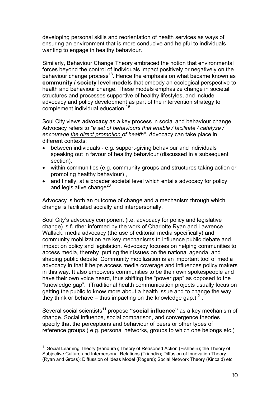developing personal skills and reorientation of health services as ways of ensuring an environment that is more conducive and helpful to individuals wanting to engage in healthy behaviour.

Similarly, Behaviour Change Theory embraced the notion that environmental forces beyond the control of individuals impact positively or negatively on the behaviour change process<sup>18</sup>. Hence the emphasis on what became known as **community / society level models** that embody an ecological perspective to health and behaviour change. These models emphasize change in societal structures and processes supportive of healthy lifestyles, and include advocacy and policy development as part of the intervention strategy to complement individual education.[19](#page--1-18) 

Soul City views **advocacy** as a key process in social and behaviour change. Advocacy refers to *"a set of behaviours that enable / facilitate / catalyze / encourage the direct promotion of health". A*dvocacy can take place in different contexts:

- between individuals e.g. support-giving behaviour and individuals speaking out in favour of healthy behaviour (discussed in a subsequent section),
- within communities (e.g. community groups and structures taking action or promoting healthy behaviour) ,
- and finally, at a broader societal level which entails advocacy for policy and legislative change $^{20}$ .

Advocacy is both an outcome of change and a mechanism through which change is facilitated socially and interpersonally.

Soul City's advocacy component (i.e. advocacy for policy and legislative change) is further informed by the work of Charlotte Ryan and Lawrence Wallack: media advocacy (the use of editorial media specifically) and community mobilization are key mechanisms to influence public debate and impact on policy and legislation. Advocacy focuses on helping communities to access media, thereby putting their issues on the national agenda, and shaping public debate. Community mobilization is an important tool of media advocacy in that it helps access media coverage and influences policy makers in this way. It also empowers communities to be their own spokespeople and have their own voice heard, thus shifting the "power gap" as opposed to the "knowledge gap". (Traditional health communication projects usually focus on getting the public to know more about a health issue and to change the way they think or behave – thus impacting on the knowledge gap.)  $21$ .

Several social scientist[s11](#page-17-0) propose **"social influence"** as a key mechanism of change. Social influence, social comparison, and convergence theories specify that the perceptions and behaviour of peers or other types of reference groups ( e.g. personal networks, groups to which one belongs etc.)

<span id="page-17-0"></span><sup>&</sup>lt;sup>11</sup> Social Learning Theory (Bandura); Theory of Reasoned Action (Fishbein); the Theory of Subjective Culture and Interpersonal Relations (Triandis); Diffusion of Innovation Theory (Ryan and Gross); Diffussion of Ideas Model (Rogers); Social Network Theory (Kincaid) etc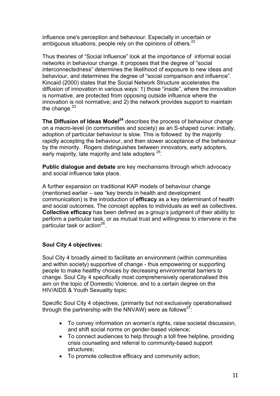<span id="page-18-0"></span>influence one's perception and behaviour. Especially in uncertain or ambiguous situations, people rely on the opinions of others.<sup>22</sup>

Thus theories of "Social Influence" look at the importance of informal social networks in behaviour change. It proposes that the degree of "social interconnectedness" determines the likelihood of exposure to new ideas and behaviour, and determines the degree of "social comparison and influence". Kincaid (2000) states that the Social Network Structure accelerates the diffusion of innovation in various ways: 1) those "inside", where the innovation is normative, are protected from opposing outside influence where the innovation is not normative; and 2) the network provides support to maintain the change. $23$ 

**The Diffusion of Ideas Model<sup>24</sup> describes the process of behaviour change** on a macro-level (in communities and society) as an S-shaped curve: initially, adoption of particular behaviour is slow. This is followed by the majority rapidly accepting the behaviour, and then slower acceptance of the behaviour by the minority. Rogers distinguishes between innovators, early adopters, early majority, late majority and late adopters <sup>25</sup>.

**Public dialogue and debate** are key mechanisms through which advocacy and social influence take place.

A further expansion on traditional KAP models of behaviour change (mentioned earlier – see "key trends in health and development communication) is the introduction of **efficacy** as a key determinant of health and social outcomes. The concept applies to individuals as well as collectives. **Collective efficacy** has been defined as a group's judgment of their ability to perform a particular task, or as mutual trust and willingness to intervene in the particular task or action $^{26}$ .

#### **Soul City 4 objectives:**

Soul City 4 broadly aimed to facilitate an environment (within communities and within society) supportive of change - thus empowering or supporting people to make healthy choices by decreasing environmental barriers to change. Soul City 4 specifically most comprehensively operationalised this aim on the topic of Domestic Violence, and to a certain degree on the HIV/AIDS & Youth Sexuality topic.

Specific Soul City 4 objectives, (primarily but not exclusively operationalised through the partnership with the NNVAW) were as follows<sup>27</sup>:

- To convey information on women's rights, raise societal discussion, and shift social norms on gender-based violence;
- To connect audiences to help through a toll free helpline, providing crisis counseling and referral to community-based support structures;
- To promote collective efficacy and community action;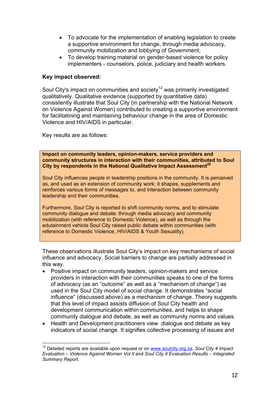- <span id="page-19-0"></span>• To advocate for the implementation of enabling legislation to create a supportive environment for change, through media advocacy, community mobilization and lobbying of Government;
- To develop training material on gender-based violence for policy implementers - counselors, police, judiciary and health workers.

#### **Key impact observed:**

Soul City's impact on communities and society<sup>12</sup> was primarily investigated qualitatively. Qualitative evidence (supported by quantitative data) consistently illustrate that Soul City (in partnership with the National Network on Violence Against Women) contributed to creating a supportive environment for facilitatining and maintaining behaviour change in the area of Domestic Violence and HIV/AIDS in particular.

Key results are as follows:

 $\overline{a}$ 

**Impact on community leaders, opinion-makers, service providers and community structures in interaction with their communities, attributed to Soul City by respondents in the National Qualitative Impact Assessment<sup>28</sup>** 

Soul City influences people in leadership positions in the community. It is perceived as, and used as an extension of community work; it shapes, supplements and reinforces various forms of messages to, and interaction between community leadership and their communities.

Furthermore, Soul City is reported to shift community norms, and to stimulate community dialogue and debate: through media advocacy and community mobilization (with reference to Domestic Violence), as well as through the edutainment vehicle Soul City raised public debate within communities (with reference to Domestic Violence, HIV/AIDS & Youth Sexuality).

These observations illustrate Soul City's impact on key mechanisms of social influence and advocacy. Social barriers to change are partially addressed in this way.

- Positive impact on community leaders, opinion-makers and service providers in interaction with their communities speaks to one of the forms of advocacy (as an "outcome" as well as a "mechanism of change") as used in the Soul City model of social change. It demonstrates "social influence" (discussed above) as a mechanism of change. Theory suggests that this level of impact assists diffusion of Soul City health and development communication within communities, and helps to shape community dialogue and debate, as well as community norms and values.
- Health and Development practitioners view dialogue and debate as key indicators of social change. It signifies collective processing of issues and

<span id="page-19-1"></span><sup>12</sup> Detailed reports are available upon request or on [www.soulcity.org.za,](http://www.soulcity.org.za/) *Soul City 4 Impact Evaluation – Violence Against Women Vol II* and *Soul City 4 Evaluation Results – Integrated Summary Report.*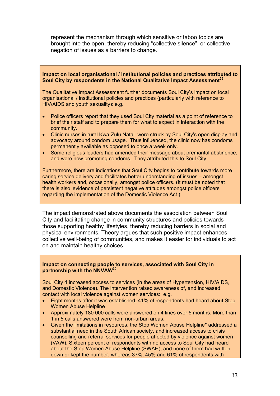represent the mechanism through which sensitive or taboo topics are brought into the open, thereby reducing "collective silence" or collective negation of issues as a barriers to change.

#### **Impact on local organisational / institutional policies and practices attributed to Soul City by respondents in the National Qualitative Impact Assessment[29](#page--1-28)**

The Qualitative Impact Assessment further documents Soul City's impact on local organisational / institutional policies and practices (particularly with reference to HIV/AIDS and youth sexuality): e.g.

- Police officers report that they used Soul City material as a point of reference to brief their staff and to prepare them for what to expect in interaction with the community.
- Clinic nurses in rural Kwa-Zulu Natal were struck by Soul City's open display and advocacy around condom usage. Thus influenced, the clinic now has condoms permanently available as opposed to once a week only.
- Some religious leaders had amended their message about premarital abstinence, and were now promoting condoms. They attributed this to Soul City.

Furthermore, there are indications that Soul City begins to contribute towards more caring service delivery and facilitates better understanding of issues – amongst health workers and, occasionally, amongst police officers. (It must be noted that there is also evidence of persistent negative attitudes amongst police officers regarding the implementation of the Domestic Violence Act.)

The impact demonstrated above documents the association between Soul City and facilitating change in community structures and policies towards those supporting healthy lifestyles, thereby reducing barriers in social and physical environments. Theory argues that such positive impact enhances collective well-being of communities, and makes it easier for individuals to act on and maintain healthy choices.

#### **Impact on connecting people to services, associated with Soul City in partnership with the NNVAW[30](#page--1-29)**

Soul City 4 increased access to services (in the areas of Hypertension, HIV/AIDS, and Domestic Violence). The intervention raised awareness of, and increased contact with local violence against women services: e.g.

- Eight months after it was established, 41% of respondents had heard about Stop Women Abuse Helpline
- Approximately 180 000 calls were answered on 4 lines over 5 months. More than 1 in 5 calls answered were from non-urban areas.
- Given the limitations in resources, the Stop Women Abuse Helpline\* addressed a substantial need in the South African society, and increased access to crisis counselling and referral services for people affected by violence against women (VAW). Sixteen percent of respondents with no access to Soul City had heard about the Stop Women Abuse Helpline (SWAH), and none of them had written down or kept the number, whereas 37%, 45% and 61% of respondents with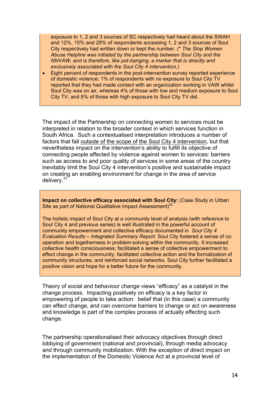exposure to 1, 2 and 3 sources of SC respectively had heard about the SWAH and 12%, 15% and 25% of respondents accessing 1, 2 and 3 sources of Soul City respectively had written down or kept the number. *(\* The Stop Women Abuse Helpline was initiated by the partnership between Soul City and the NNVAW, and is therefore, like pot-banging, a marker that is directly and exclusively associated with the Soul City 4 intervention.)*

• Eight percent of respondents in the post-intervention survey reported experience of domestic violence; 1% of respondents with no exposure to Soul City TV reported that they had made contact with an organization working in VAW whilst Soul City was on air, whereas 4% of those with low and medium exposure to Soul City TV, and 5% of those with high exposure to Soul City TV did.

The impact of the Partnership on connecting women to services must be interpreted in relation to the broader context in which services function in South Africa. Such a contextualised interpretation introduces a number of factors that fall outside of the scope of the Soul City 4 intervention, but that nevertheless impact on the intervention's ability to fulfill its objective of connecting people affected by violence against women to services: barriers such as access to and poor quality of services in some areas of the country inevitably limit the Soul City 4 intervention's positive and sustainable impact on creating an enabling environment for change in the area of service delivery.<sup>[31](#page--1-30)</sup>

**Impact on collective efficacy associated with Soul City:** (Case Study in Urban Site as part of National Qualitative Impact Assessment)<sup>[32](#page--1-31)</sup>

The holistic impact of Soul City at a community level of analysis (with reference to Soul City 4 and previous series) is well illustrated in the powerful account of community empowerment and collective efficacy documented in *Soul City 4 Evaluation Results – Integrated Summary Report.* Soul City fostered a sense of cooperation and togetherness in problem-solving within the community. It increased collective health consciousness; facilitated a sense of collective empowerment to effect change in the community; facilitated collective action and the formalization of community structures; and reinforced social networks. Soul City further facilitated a positive vision and hope for a better future for the community.

Theory of social and behaviour change views "efficacy" as a catalyst in the change process. Impacting positively on efficacy is a key factor in empowering of people to take action: belief that (in this case) a community can effect change, and can overcome barriers to change or act on awareness and knowledge is part of the complex process of actually effecting such change.

The partnership operationalised their advocacy objectives through direct lobbying of government (national and provincial), through media advocacy and through community mobilization. With the exception of direct impact on the implementation of the Domestic Violence Act at a provincial level of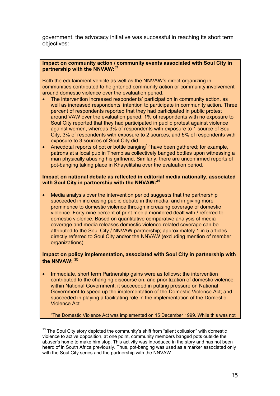government, the advocacy initiative was successful in reaching its short term objectives:

#### **Impact on community action / community events associated with Soul City in partnership with the NNVAW[:33](#page--1-32)**

Both the edutainment vehicle as well as the NNVAW's direct organizing in communities contributed to heightened community action or community involvement around domestic violence over the evaluation period.

- The intervention increased respondents' participation in community action, as well as increased respondents' intention to participate in community action. Three percent of respondents reported that they had participated in public protest around VAW over the evaluation period; 1% of respondents with no exposure to Soul City reported that they had participated in public protest against violence against women, whereas 3% of respondents with exposure to 1 source of Soul City, 3% of respondents with exposure to 2 sources, and 5% of respondents with exposure to 3 sources of Soul City did.
- Anecdotal reports of pot or bottle banging<sup>13</sup> have been gathered; for example, patrons at a local pub in Thembisa collectively banged bottles upon witnessing a man physically abusing his girlfriend. Similarly, there are unconfirmed reports of pot-banging taking place in Khayelitsha over the evaluation period.

#### **Impact on national debate as reflected in editorial media nationally, associated with Soul City in partnership with the NNVAW:[34](#page--1-33)**

• Media analysis over the intervention period suggests that the partnership succeeded in increasing public debate in the media, and in giving more prominence to domestic violence through increasing coverage of domestic violence. Forty-nine percent of print media monitored dealt with / referred to domestic violence. Based on quantitative comparative analysis of media coverage and media releases domestic violence-related coverage can be attributed to the Soul City / NNVAW partnership; approximately 1 in 5 articles directly referred to Soul City and/or the NNVAW (excluding mention of member organizations).

#### **Impact on policy implementation, associated with Soul City in partnership with the NNVAW: [35](#page--1-34)**

• Immediate, short term Partnership gains were as follows: the intervention contributed to the changing discourse on, and prioritization of domestic violence within National Government; it succeeded in putting pressure on National Government to speed up the implementation of the Domestic Violence Act; and succeeded in playing a facilitating role in the implementation of the Domestic Violence Act.

"The Domestic Violence Act was implemented on 15 December 1999. While this was not

<span id="page-22-0"></span> $13$  The Soul City story depicted the community's shift from "silent collusion" with domestic violence to active opposition, at one point, community members banged pots outside the abuser's home to make him stop. This activity was introduced in the story and has not been heard of in South Africa previously. Thus, pot-banging was used as a marker associated only with the Soul City series and the partnership with the NNVAW.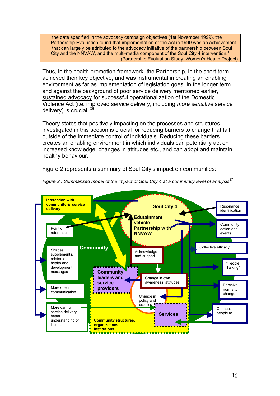the date specified in the advocacy campaign objectives (1st November 1999), the Partnership Evaluation found that implementation of the Act in 1999 was an achievement that can largely be attributed to the advocacy initiative of the partnership between Soul City and the NNVAW, and the multi-media component of the Soul City 4 intervention." (Partnership Evaluation Study, Women's Health Project)

Thus, in the health promotion framework, the Partnership, in the short term, achieved their key objective, and was instrumental in creating an enabling environment as far as implementation of legislation goes. In the longer term and against the background of poor service delivery mentioned earlier, sustained advocacy for successful operationalization of the Domestic Violence Act (i.e. improved service delivery, including *more sensitive* service delivery) is crucial.  $36$ 

Theory states that positively impacting on the processes and structures investigated in this section is crucial for reducing barriers to change that fall outside of the immediate control of individuals. Reducing these barriers creates an enabling environment in which individuals can potentially act on increased knowledge, changes in attitudes etc., and can adopt and maintain healthy behaviour.

Figure 2 represents a summary of Soul City's impact on communities:



*Figure 2 : Summarized model of the impact of Soul City 4 at a community level of analysis[37](#page--1-36)*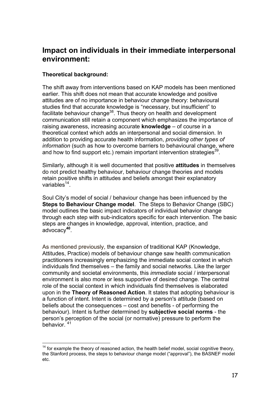### <span id="page-24-0"></span>**Impact on individuals in their immediate interpersonal environment:**

#### **Theoretical background:**

 $\overline{a}$ 

The shift away from interventions based on KAP models has been mentioned earlier. This shift does not mean that accurate knowledge and positive attitudes are of no importance in behaviour change theory: behavioural studies find that accurate knowledge is "necessary, but insufficient" to facilitate behaviour change<sup>38</sup>. Thus theory on health and development communication still retain a component which emphasizes the importance of raising awareness, increasing accurate **knowledge** – of course in a theoretical context which adds an interpersonal and social dimension. In addition to providing accurate health information, *providing other types of information* (such as how to overcome barriers to behavioural change, where and how to find support etc.) remain important intervention strategies<sup>39</sup>.

Similarly, although it is well documented that positive **attitudes** in themselves do not predict healthy behaviour, behaviour change theories and models retain positive shifts in attitudes and beliefs amongst their explanatory variables $14$ .

Soul City's model of social / behaviour change has been influenced by the **Steps to Behaviour Change model.** The Steps to Behavior Change (SBC) model outlines the basic impact indicators of individual behavior change through each step with sub-indicators specific for each intervention. The basic steps are changes in knowledge, approval, intention, practice, and advocacy**[40](#page--1-39)**.

As mentioned previously, the expansion of traditional KAP (Knowledge, Attitudes, Practice) models of behaviour change saw health communication practitioners increasingly emphasizing the immediate social context in which individuals find themselves – the family and social networks. Like the larger community and societal environments, this *immediate* social / interpersonal environment is also more or less supportive of desired change. The central role of the social context in which individuals find themselves is elaborated upon in the **Theory of Reasoned Action**. It states that adopting behaviour is a function of intent. Intent is determined by a person's attitude (based on beliefs about the consequences – cost and benefits - of performing the behaviour). Intent is further determined by **subjective social norms** - the person's perception of the social (or normative) pressure to perform the behavior. [41](#page--1-40) 

<span id="page-24-1"></span> $14$  for example the theory of reasoned action, the health belief model, social cognitive theory, the Stanford process, the steps to behaviour change model ("approval"), the BASNEF model etc.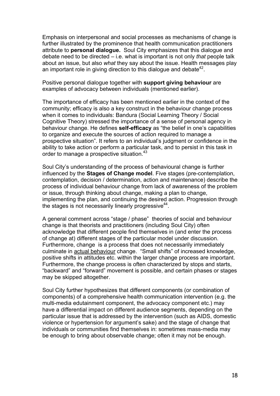Emphasis on interpersonal and social processes as mechanisms of change is further illustrated by the prominence that health communication practitioners attribute to **personal dialogue.** Soul City emphasizes that this dialogue and debate need to be directed – i.e. what is important is not only *that* people talk about an issue, but also *what* they say about the issue. Health messages play an important role in giving direction to this dialogue and debate<sup>42</sup>.

Positive personal dialogue together with **support giving behaviour** are examples of advocacy between individuals (mentioned earlier).

The importance of efficacy has been mentioned earlier in the context of the community; efficacy is also a key construct in the behaviour change process when it comes to individuals: Bandura (Social Learning Theory / Social Cognitive Theory) stressed the importance of a sense of personal agency in behaviour change. He defines **self-efficacy** as "the belief in one's capabilities to organize and execute the sources of action required to manage a prospective situation". It refers to an individual's judgment or confidence in the ability to take action or perform a particular task, and to persist in this task in order to manage a prospective situation.<sup>43</sup>

Soul City's understanding of the process of behavioural change is further influenced by the **Stages of Change model**. Five stages (pre-contemplation, contemplation, decision / determination, action and maintenance) describe the process of individual behaviour change from lack of awareness of the problem or issue, through thinking about change, making a plan to change, implementing the plan, and continuing the desired action. Progression through the stages is not necessarily linearly progressive  $44$ .

A general comment across "stage / phase" theories of social and behaviour change is that theorists and practitioners (including Soul City) often acknowledge that different people find themselves in (and enter the process of change at) different stages of the particular model under discussion. Furthermore, change is a process that does not necessarily immediately culminate in actual behaviour change. "Small shifts" of increased knowledge, positive shifts in attitudes etc. within the larger change process are important. Furthermore, the change process is often characterized by stops and starts, "backward" and "forward" movement is possible, and certain phases or stages may be skipped altogether.

Soul City further hypothesizes that different components (or combination of components) of a comprehensive health communication intervention (e.g. the multi-media edutainment component, the advocacy component etc.) may have a differential impact on different audience segments, depending on the particular issue that is addressed by the intervention (such as AIDS, domestic violence or hypertension for argument's sake) and the stage of change that individuals or communities find themselves in: sometimes mass-media may be enough to bring about observable change; often it may not be enough.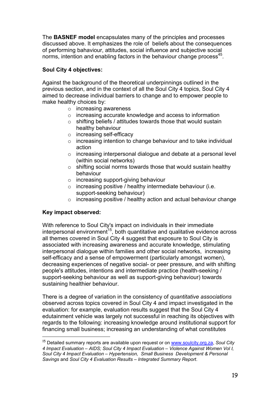<span id="page-26-0"></span>The **BASNEF model** encapsulates many of the principles and processes discussed above. It emphasizes the role of beliefs about the consequences of performing bahaviour, attitudes, social influence and subjective social norms, intention and enabling factors in the behaviour change process<sup>45</sup>.

#### **Soul City 4 objectives:**

Against the background of the theoretical underpinnings outlined in the previous section, and in the context of all the Soul City 4 topics, Soul City 4 aimed to decrease individual barriers to change and to empower people to make healthy choices by:

- o increasing awareness
- o increasing accurate knowledge and access to information
- $\circ$  shifting beliefs / attitudes towards those that would sustain healthy behaviour
- o increasing self-efficacy
- o increasing intention to change behaviour and to take individual action
- o increasing interpersonal dialogue and debate at a personal level (within social networks)
- o shifting social norms towards those that would sustain healthy behaviour
- o increasing support-giving behaviour
- o increasing positive / healthy intermediate behaviour (i.e. support-seeking behaviour)
- $\circ$  increasing positive / healthy action and actual behaviour change

#### **Key impact observed:**

 $\overline{a}$ 

With reference to Soul City's impact on individuals in their immediate interpersonal environment<sup>15</sup>, both quantitative and qualitative evidence across all themes covered in Soul City 4 suggest that exposure to Soul City is associated with increasing awareness and accurate knowledge, stimulating interpersonal dialogue within families and other social networks, increasing self-efficacy and a sense of empowerment (particularly amongst women), decreasing experiences of negative social- or peer pressure, and with shifting people's attitudes, intentions and intermediate practice (health-seeking / support-seeking behaviour as well as support-giving behaviour) towards sustaining healthier behaviour.

There is a degree of variation in the consistency of *quantitative associations* observed across topics covered in Soul City 4 and impact investigated in the evaluation: for example, evaluation results suggest that the Soul City 4 edutainment vehicle was largely not successful in reaching its objectives with regards to the following: increasing knowledge around institutional support for financing small business; increasing an understanding of what constitutes

<span id="page-26-1"></span><sup>15</sup> Detailed summary reports are available upon request or on [www.soulcity.org.za,](http://www.soulcity.org.za/) *Soul City 4 Impact Evaluation – AIDS; Soul City 4 Impact Evaluation – Violence Against Women Vol I, Soul City 4 Impact Evaluation – Hypertension, Small Business Development & Personal Savings* and *Soul City 4 Evaluation Results – Integrated Summary Report*.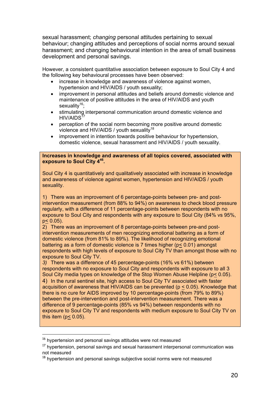sexual harassment; *changing* personal attitudes pertaining to sexual behaviour; changing attitudes and perceptions of social norms around sexual harassment; and changing behavioural intention in the area of small business development and personal savings.

However, a consistent quantitative association between exposure to Soul City 4 and the following key behavioural processes have been observed:

- increase in knowledge and awareness of violence against women. hypertension and HIV/AIDS / youth sexuality;
- improvement in personal attitudes and beliefs around domestic violence and maintenance of positive attitudes in the area of HIV/AIDS and youth sexuality $16$ ;
- stimulating interpersonal communication around domestic violence and  $HIV/AIDS<sup>17</sup>$  $HIV/AIDS<sup>17</sup>$  $HIV/AIDS<sup>17</sup>$
- perception of the social norm becoming more positive around domestic violence and HIV/AIDS / youth sexuality<sup>[18](#page-27-2)</sup>
- improvement in intention towards positive behaviour for hypertension, domestic violence, sexual harassment and HIV/AIDS / youth sexuality.

**Increases in knowledge and awareness of all topics covered, associated with exposure to Soul City 4[46.](#page--1-45)** 

Soul City 4 is quantitatively and qualitatively associated with increase in knowledge and awareness of violence against women, hypertension and HIV/AIDS / youth sexuality.

1) There was an improvement of 6 percentage-points between pre- and postintervention measurement (from 88% to 94%) on awareness to check blood pressure regularly, with a difference of 11 percentage-points between respondents with no exposure to Soul City and respondents with any exposure to Soul City (84% vs 95%, p< 0.05).

2) There was an improvement of 8 percentage-points between pre-and postintervention measurements of men recognizing emotional battering as a form of domestic violence (from 81% to 89%). The likelihood of recognizing emotional battering as a form of domestic violence is 7 times higher (p< 0.01) amongst respondents with high levels of exposure to Soul City TV than amongst those with no exposure to Soul City TV.

*3)* There was a difference of 45 percentage-points (16% vs 61%) between respondents with no exposure to Soul City and respondents with exposure to all 3 Soul City media types on knowledge of the Stop Women Abuse Helpline (p < 0.05). 4) In the rural sentinel site, high access to Soul City TV associated with faster acquisition of awareness that HIV/AIDS can be prevented (p < 0.05). Knowledge that there is no cure for AIDS improved by 10 percentage-points (from 79% to 89%) between the pre-intervention and post-intervention measurement. There was a difference of 9 percentage-points (85% vs 94%) between respondents with no exposure to Soul City TV and respondents with medium exposure to Soul City TV on this item ( $p < 0.05$ ).

<span id="page-27-0"></span><sup>&</sup>lt;sup>16</sup> hypertension and personal savings attitudes were not measured

<span id="page-27-1"></span><sup>&</sup>lt;sup>17</sup> hypertension, personal savings and sexual harassment interpersonal communication was not measured

<span id="page-27-2"></span><sup>&</sup>lt;sup>18</sup> hypertension and personal savings subjective social norms were not measured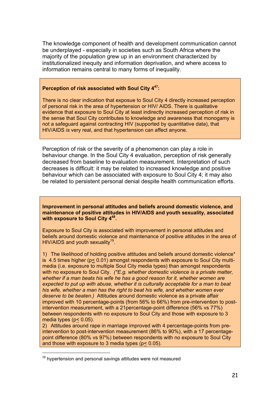The knowledge component of health and development communication cannot be underplayed - especially in societies such as South Africa where the majority of the population grew up in an environment characterized by institutionalized inequity and information deprivation, and where access to information remains central to many forms of inequality.

#### **Perception of risk associated with Soul City 4[47:](#page--1-46)**

There is no clear indication that exposue to Soul City 4 directly increased perception of personal risk in the area of hypertension or HIV/ AIDS. There is qualitative evidence that exposure to Soul City at least indirectly increased perception of risk in the sense that Soul City contributes to knowledge and awareness that monogamy is not a safeguard against contracting HIV (supported by quantitative data), that HIV/AIDS *is* very real, and that hypertension can affect anyone.

Perception of risk or the severity of a phenomenon can play a role in behaviour change. In the Soul City 4 evaluation, perception of risk generally decreased from baseline to evaluation measurement. Interpretation of such decreases is difficult: it may be related to increased knowledge and positive behaviour which can be associated with exposure to Soul City 4; it may also be related to persistent personal denial despite health communication efforts.

**Improvement in personal attitudes and beliefs around domestic violence, and maintenance of positive attitudes in HIV/AIDS and youth sexuality, associated with exposure to Soul City [448.](#page--1-47)**

Exposure to Soul City is associated with improvement in personal attitudes and beliefs around domestic violence and maintenance of positive attitudes in the area of HIV/AIDS and youth sexuality<sup>19</sup>.

1) The likelihood of holding positive attitudes and beliefs around domestic violence\* is 4.5 times higher (p< 0.01) amongst respondents with exposure to Soul City multimedia (i.e. exposure to multiple Soul City media types) than amongst respondents with no exposure to Soul City. *(\*E.g. whether domestic violence is a private matter, whether if a man beats his wife he has a good reason for it, whether women are expected to put up with abuse, whether it is culturally acceptable for a man to beat his wife, whether a man has the right to beat his wife, and whether women ever deserve to be beaten.)* Attitudes around domestic violence as a private affair improved with 10 percentage-points (from 56% to 66%) from pre-intervention to postintervention measurement, with a 21percentage-point difference (56% vs 77%) between respondents with no exposure to Soul City and those with exposure to 3 media types (p< 0.05).

2) Attitudes around rape in marriage improved with 4 percentage-points from preintervention to post-intervention measurement (86% to 90%), with a 17 percentagepoint difference (80% vs 97%) between respondents with no exposure to Soul City and those with exposure to 3 media types (p< 0.05).

<span id="page-28-0"></span><sup>&</sup>lt;sup>19</sup> hypertension and personal savings attitudes were not measured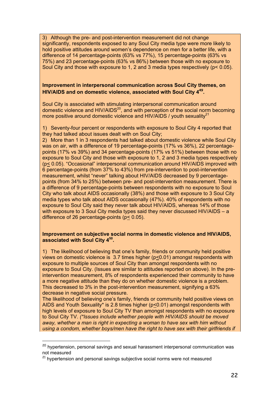3) Although the pre- and post-intervention measurement did not change significantly, respondents exposed to any Soul City media type were more likely to hold positive attitudes around women's dependence on men for a better life, with a difference of 14 percentage-points (63% vs 77%), 15 percentage-points (63% vs 75%) and 23 percentage-points (63% vs 86%) between those with no exposure to Soul City and those with exposure to 1, 2 and 3 media types respectively (p< 0.05).

#### **Improvement in interpersonal communication across Soul City themes, on HIV/AIDS and on domestic violence, associated with Soul City 4[49](#page--1-48).**

Soul City is associated with stimulating interpersonal communication around domestic violence and HIV/AIDS<sup>20</sup>, and with perception of the social norm becoming more positive around domestic violence and HIV/AIDS / youth sexuality $^{21}$  $^{21}$  $^{21}$ 

1) Seventy-four percent or respondents with exposure to Soul City 4 reported that they had talked about issues dealt with on Soul City;

2) More than 1 in 3 respondents had talked about domestic violence while Soul City was on air, with a difference of 19 percentage-points (17% vs 36%), 22 percentagepoints (17% vs 39%) and 34 percentage-points (17% vs 51%) between those with no exposure to Soul City and those with exposure to 1, 2 and 3 media types respectively (p< 0.05). "Occasional" interpersonal communication around HIV/AIDS improved with 6 percentage-points (from 37% to 43%) from pre-intervention to post-intervention measurement, whilst "never" talking about HIV/AIDS decreased by 9 percentagepoints (from 34% to 25%) between pre- and post-intervention measurement. There is a difference of 9 percentage-points between respondents with no exposure to Soul City who talk about AIDS occasionally (38%) and those with exposure to 3 Soul City media types who talk about AIDS occasionally (47%). 40% of respondents with no exposure to Soul City said they never talk about HIV/AIDS, whereas 14% of those with exposure to 3 Soul City media types said they never discussed HIV/AIDS – a difference of 26 percentage-points (p< 0.05).

#### **Improvement on subjective social norms in domestic violence and HIV/AIDS, associated with Soul City 4[50.](#page--1-49)**

1) The likelihood of believing that one's family, friends or community held positive views on domestic violence is 3.7 times higher (p<0.01) amongst respondents with exposure to multiple sources of Soul City than amongst respondents with no exposure to Soul City. (Issues are similar to attitudes reported on above). In the preintervention measurement, 8% of respondents experienced their community to have a more negative attitude than they do on whether domestic violence is a problem. This decreased to 3% in the post-intervention measurement, signifying a 63% decrease in negative social pressure.

The likelihood of believing one's family, friends or community held positive views on AIDS and Youth Sexuality\* is 2.8 times higher (p<0.01) amongst respondents with high levels of exposure to Soul City TV than amongst respondents with no exposure to Soul City TV. *(\*Issues include whether people with HIV/AIDS should be moved away, whether a man is right in expecting a woman to have sex with him without using a condom, whether boys/men have the right to have sex with their girlfriends if* 

<span id="page-29-0"></span><sup>&</sup>lt;sup>20</sup> hypertension, personal savings and sexual harassment interpersonal communication was not measured

<span id="page-29-1"></span><sup>&</sup>lt;sup>21</sup> hypertension and personal savings subjective social norms were not measured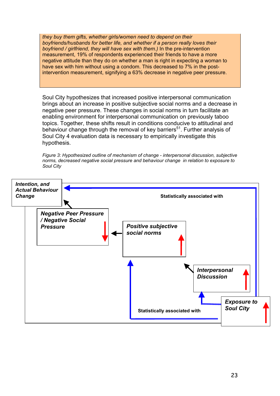*they buy them gifts, whether girls/women need to depend on their boyfriends/husbands for better life, and whether if a person really loves their boyfriend / girlfriend, they will have sex with them.)* In the pre-intervention measurement, 19% of respondents experienced their friends to have a more negative attitude than they do on whether a man is right in expecting a woman to have sex with him without using a condom. This decreased to 7% in the postintervention measurement, signifying a 63% decrease in negative peer pressure.

Soul City hypothesizes that increased positive interpersonal communication brings about an increase in positive subjective social norms and a decrease in negative peer pressure. These changes in social norms in turn facilitate an enabling environment for interpersonal communication on previously taboo topics. Together, these shifts result in conditions conducive to attitudinal and behaviour change through the removal of key barriers<sup>51</sup>. Further analysis of Soul City 4 evaluation data is necessary to empirically investigate this hypothesis.

*Figure 3: Hypothesized outline of mechanism of change - interpersonal discussion, subjective norms, decreased negative social pressure and behaviour change in relation to exposure to Soul City* 

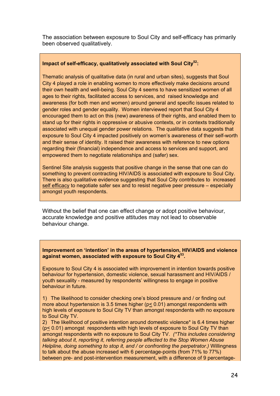The association between exposure to Soul City and self-efficacy has primarily been observed qualitatively.

#### **Impact of self-efficacy, qualitatively associated with Soul City[52:](#page--1-51)**

Thematic analysis of qualitative data (in rural and urban sites), suggests that Soul City 4 played a role in enabling women to more effectively make decisions around their own health and well-being. Soul City 4 seems to have sensitized women of all ages to their rights, facilitated access to services, and raised knowledge and awareness (for both men and women) around general and specific issues related to gender roles and gender equality. Women interviewed report that Soul City 4 encouraged them to act on this (new) awareness of their rights, and enabled them to stand up for their rights in oppressive or abusive contexts, or in contexts traditionally associated with unequal gender power relations. The qualitative data suggests that exposure to Soul City 4 impacted positively on women's awareness of their self-worth and their sense of identity. It raised their awareness with reference to new options regarding their (financial) independence and access to services and support, and empowered them to negotiate relationships and (safer) sex.

Sentinel Site analysis suggests that positive change in the sense that one can do something to prevent contracting HIV/AIDS is associated with exposure to Soul City. There is also qualitative evidence suggesting that Soul City contributes to increased self efficacy to negotiate safer sex and to resist negative peer pressure – especially amongst youth respondents.

Without the belief that one can effect change or adopt positive behaviour, accurate knowledge and positive attitudes may not lead to observable behaviour change.

**Improvement on 'intention' in the areas of hypertension, HIV/AIDS and violence against women, associated with exposure to Soul City 4[53.](#page--1-52)**

Exposure to Soul City 4 is associated with improvement in intention towards positive behaviour for hypertension, domestic violence, sexual harassment and HIV/AIDS / youth sexuality - measured by respondents' willingness to engage in positive behaviour in future.

1) The likelihood to consider checking one's blood pressure and / or finding out more about hypertension is 3.5 times higher (p< 0.01) amongst respondents with high levels of exposure to Soul City TV than amongst respondents with no exposure to Soul City TV.

2) The likelihood of positive intention around domestic violence\* is 6.4 times higher (p< 0.01) amongst respondents with high levels of exposure to Soul City TV than amongst respondents with no exposure to Soul City TV. *(\*This includes considering talking about it, reporting it, referring people affected to the Stop Women Abuse Helpline, doing something to stop it, and / or confronting the perpetrator.)* Willingness to talk about the abuse increased with 6 percentage-points (from 71% to 77%) between pre- and post-intervention measurement, with a difference of 9 percentage-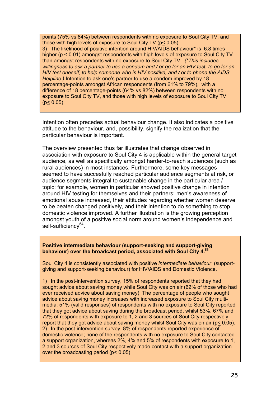points (75% vs 84%) between respondents with no exposure to Soul City TV, and those with high levels of exposure to Soul City TV (p< 0.05). 3) The likelihood of positive intention around HIV/AIDS behaviour\* is 6.8 times higher (p < 0.01) amongst respondents with high levels of exposure to Soul City TV than amongst respondents with no exposure to Soul City TV. *(\*This includes willingness to ask a partner to use a condom and / or go for an HIV test, to go for an HIV test oneself, to help someone who is HIV positive, and / or to phone the AIDS Helpline.)* Intention to ask one's partner to use a condom improved by 18 percentage-points amongst African respondents (from 61% to 79%), with a difference of 18 percentage-points (64% vs 82%) between respondents with no exposure to Soul City TV, and those with high levels of exposure to Soul City TV  $(p < 0.05)$ .

Intention often precedes actual behaviour change. It also indicates a positive attitude to the behaviour, and, possibility, signify the realization that the particular behaviour is important.

The overview presented thus far illustrates that change observed in association with exposure to Soul City 4 is applicable within the general target audience, as well as specifically amongst harder-to-reach audiences (such as rural audiences) in most instances. Furthermore, some key messages seemed to have succesfully reached particular audience segments at risk, or audience segments integral to sustanable change in the particular area / topic: for example, women in particular showed positive change in intention around HIV testing for themselves and their partners; men's awareness of emotional abuse increased, their attitudes regarding whether women deserve to be beaten changed positively, and their intention to do something to stop domestic violence improved. A further illustration is the growing perception amongst youth of a positive social norm around women's independence and self-sufficiency<sup>54</sup>.

#### **Positive intermediate behaviour (support-seeking and support-giving behaviour) over the broadcast period, associated with Soul City 4[.55](#page--1-54)**

Soul City 4 is consistently associated with positive *intermediate behaviour* (supportgiving and support-seeking behaviour) for HIV/AIDS and Domestic Violence.

1) In the post-intervention survey, 15% of respondents reported that they had sought advice about saving money while Soul City was on air (62% of those who had ever received advice about saving money). The percentage of people who sought advice about saving money increases with increased exposure to Soul City multimedia: 51% (valid responses) of respondents with no exposure to Soul City reported that they got advice about saving during the broadcast period, whilst 53%, 67% and 72% of respondents with exposure to 1, 2 and 3 sources of Soul City respectively report that they got advice about saving money whilst Soul City was on air (p< 0.05). 2) In the post-intervention survey, 8% of respondents reported experience of domestic violence; none of the respondents with no exposure to Soul City contacted a support organization, whereas 2%, 4% and 5% of respondents with exposure to 1, 2 and 3 sources of Soul City respectively made contact with a support organization over the broadcasting period (p< 0.05).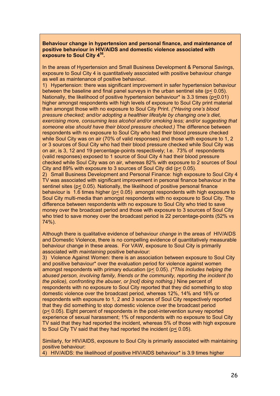**Behaviour change in hypertension and personal finance, and maintenance of positive behaviour in HIV/AIDS and domestic violence associated with exposure to Soul City 4[56.](#page--1-55)** 

In the areas of Hypertension and Small Business Development & Personal Savings, exposure to Soul City 4 is quantitatively associated with positive behaviour *change*  as well as maintenance of positive behaviour.

1) Hypertension: there was significant improvement in safer hypertension behaviour between the baseline and final panel surveys in the urban sentinel site (p< 0.05). Nationally, the likelihood of positive hypertension behaviour\* is 3.3 times (p<0.01) higher amongst respondents with high levels of exposure to Soul City print material than amongst those with no exposure to Soul City Print. *(\*Having one's blood pressure checked; and/or adopting a healthier lifestyle by changing one's diet, exercising more, consuming less alcohol and/or smoking less; and/or suggesting that someone else should have their blood pressure checked.)* The difference between respondents with no exposure to Soul City who had their blood pressure checked while Soul City was on air (70% of valid responses) and those with exposure to 1, 2 or 3 sources of Soul City who had their blood pressure checked while Soul City was on air, is 3, 12 and 19 percentage-points respectively; I.e. 73% of respondents (valid responses) exposed to 1 source of Soul City 4 had their blood pressure checked while Soul City was on air, whereas 82% with exposure to 2 sources of Soul City and 89% with exposure to 3 sources of Soul City did (p< 0.05).

2) Small Business Development and Personal Finance: high exposure to Soul City 4 TV was associated with significant improvement in personal finance behaviour in the sentinel sites (p< 0.05). Nationally, the likelihood of positive personal finance behaviour is 1.6 times higher (p< 0.05) amongst respondents with high exposure to Soul City multi-media than amongst respondents with no exposure to Soul City. The difference between respondents with no exposure to Soul City who tried to save money over the broadcast period and those with exposure to 3 sources of Soul City who tried to save money over the broadcast period is 22 percentage-points (52% vs 74%).

Although there is qualitative evidence of behaviour *change* in the areas of HIV/AIDS and Domestic Violence, there is no compelling evidence of quantitatively measurable behaviour change in these areas. For VAW, exposure to Soul City is primarily associated with *maintaining* positive behaviour:

3) Violence Against Women: there is an association between exposure to Soul City and positive behaviour\* over the evaluation period for violence against women amongst respondents with primary education (p< 0.05). *(\*This includes helping the abused person, involving family, friends or the community, reporting the incident (to the police), confronting the abuser, or [not] doing nothing.)* Nine percent of respondents with no exposure to Soul City reported that they did something to stop domestic violence over the broadcast period, whereas 12%, 14% and 16% or respondents with exposure to 1, 2 and 3 sources of Soul City respectively reported that they did something to stop domestic violence over the broadcast period (p< 0.05). Eight percent of respondents in the post-intervention survey reported experience of sexual harassment; 1% of respondents with no exposure to Soul City TV said that they had reported the incident, whereas 5% of those with high exposure to Soul City TV said that they had reported the incident (p< 0.05).

Similarly, for HIV/AIDS, exposure to Soul City is primarily associated with maintaining positive behaviour:

4) HIV/AIDS: the likelihood of positive HIV/AIDS behaviour\* is 3.9 times higher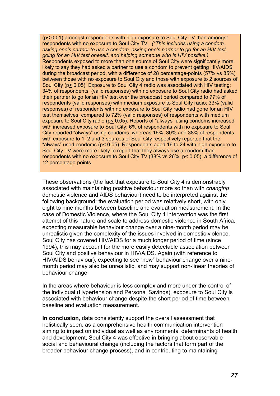(p< 0.01) amongst respondents with high exposure to Soul City TV than amongst respondents with no exposure to Soul City TV. *(\*This includes using a condom, asking one's partner to use a condom, asking one's partner to go for an HIV test, going for an HIV test oneself, and helping someone who is HIV positive.)* Respondents exposed to more than one source of Soul City were significantly more likely to say they had asked a partner to use a condom to prevent getting HIV/AIDS during the broadcast period, with a difference of 28 percentage-points (57% vs 85%) between those with no exposure to Soul City and those with exposure to 2 sources of Soul City (p< 0.05). Exposure to Soul City 4 radio was associated with HIV testing: 34% of respondents (valid responses) with no exposure to Soul City radio had asked their partner to go for an HIV test over the broadcast period compared to 77% of respondents (valid responses) with medium exposure to Soul City radio; 33% (valid responses) of respondents with no exposure to Soul City radio had gone for an HIV test themselves, compared to 72% (valid responses) of respondents with medium exposure to Soul City radio ( $p \le 0.05$ ). Reports of "always" using condoms increased with increased exposure to Soul City: 6% of respondents with no exposure to Soul City reported "always" using condoms, whereas 16%, 30% and 38% of respondents with exposure to 1, 2 and 3 sources of Soul City respectively reported that the "always" used condoms ( $p \le 0.05$ ). Respondents aged 16 to 24 with high exposure to Soul City TV were more likely to report that they always use a condom than respondents with no exposure to Soul City TV (38% vs 26%, p< 0.05), a difference of 12 percentage-points.

These observations (the fact that exposure to Soul City 4 is demonstrably associated with maintaining positive behaviour more so than with *changing*  domestic violence and AIDS behaviour) need to be interpreted against the following background: the evaluation period was relatively short, with only eight to nine months between baseline and evaluation measurement. In the case of Domestic Violence, where the Soul City 4 intervention was the first attempt of this nature and scale to address domestic violence in South Africa, expecting measurable behaviour change over a nine-month period may be unrealistic given the complexity of the issues involved in domestic violence. Soul City has covered HIV/AIDS for a much longer period of time (since 1994); this may account for the more easily detectable association between Soul City and positive behaviour in HIV/AIDS. Again (with reference to HIV/AIDS behaviour), expecting to see "new" behaviour change over a ninemonth period may also be unrealistic, and may support non-linear theories of behaviour change.

In the areas where behaviour is less complex and more under the control of the individual (Hypertension and Personal Savings), exposure to Soul City is associated with behaviour change despite the short period of time between baseline and evaluation measurement.

**In conclusion**, data consistently support the overall assessment that holistically seen, as a comprehensive health communication intervention aiming to impact on individual as well as environmental determinants of health and development, Soul City 4 was effective in bringing about observable social and behavioural change (including the factors that form part of the broader behaviour change process), and in contributing to maintaining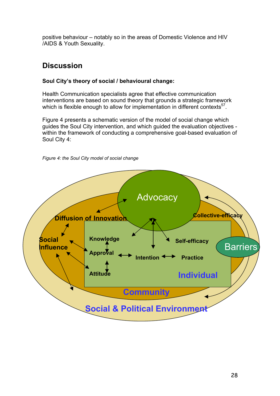<span id="page-35-0"></span>positive behaviour – notably so in the areas of Domestic Violence and HIV /AIDS & Youth Sexuality.

### **Discussion**

#### **Soul City's theory of social / behavioural change:**

Health Communication specialists agree that effective communication interventions are based on sound theory that grounds a strategic framework which is flexible enough to allow for implementation in different contexts<sup>57</sup>.

Figure 4 presents a schematic version of the model of social change which guides the Soul City intervention, and which guided the evaluation objectives within the framework of conducting a comprehensive goal-based evaluation of Soul City 4:



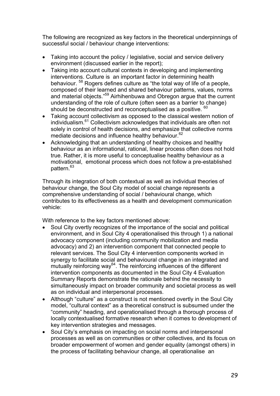The following are recognized as key factors in the theoretical underpinnings of successful social / behaviour change interventions:

- Taking into account the policy / legislative, social and service delivery environment (discussed earlier in the report);
- Taking into account cultural contexts in developing and implementing interventions. Culture is an important factor in determining health behaviour. [58](#page--1-57) Rogers defines culture as "the total way of life of a people, composed of their learned and shared behaviour patterns, values, norms and material objects."[59](#page--1-58) Airhihenbuwa and Obregon argue that the current understanding of the role of culture (often seen as a barrier to change) should be deconstructed and reconceptualised as a positive. <sup>[60](#page--1-59)</sup>
- Taking account collectivism as opposed to the classical western notion of individualism.[61](#page--1-60) Collectivism acknowledges that individuals are often not solely in control of health decisions, and emphasize that collective norms mediate decisions and influence healthy behaviour.<sup>62</sup>
- Acknowledging that an understanding of healthy choices and healthy behaviour as an informational, rational, linear process often does not hold true. Rather, it is more useful to conceptualise healthy behaviour as a motivational, emotional process which does not follow a pre-established pattern.<sup>[63](#page--1-62)</sup>

Through its integration of both contextual as well as individual theories of behaviour change, the Soul City model of social change represents a comprehensive understanding of social / behavioural change, which contributes to its effectiveness as a health and development communication vehicle:

With reference to the key factors mentioned above:

- Soul City overtly recognizes of the importance of the social and political environment, and in Soul City 4 operationalised this through 1) a national advocacy component (including community mobilization and media advocacy) and 2) an intervention component that connected people to relevant services. The Soul City 4 intervention components worked in synergy to facilitate social and behavioural change in an integrated and  $\frac{3}{2}$  mutually reinforcing way<sup>64</sup>. The reinforcing influences of the different intervention components as documented in the Soul City 4 Evaluation Summary Reports demonstrate the rationale behind the necessity to simultaneously impact on broader community and societal process as well as on individual and interpersonal processes.
- Although "culture" as a construct is not mentioned overtly in the Soul City model, "cultural context" as a theoretical construct is subsumed under the "community" heading, and operationalised through a thorough process of locally contextualised formative research when it comes to development of key intervention strategies and messages.
- Soul City's emphasis on impacting on social norms and interpersonal processes as well as on communities or other collectives, and its focus on broader empowerment of women and gender equality (amongst others) in the process of facilitating behaviour change, all operationalise an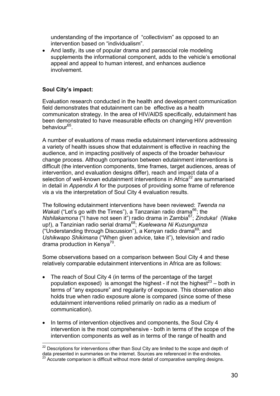<span id="page-37-0"></span>understanding of the importance of "collectivism" as opposed to an intervention based on "individualism".

• And lastly, its use of popular drama and parasocial role modeling supplements the informational component, adds to the vehicle's emotional appeal and appeal to human interest, and enhances audience involvement.

#### **Soul City's impact:**

Evaluation research conducted in the health and development communication field demonstrates that edutainment can be effective as a health communicaton strategy. In the area of HIV/AIDS specifically, edutainment has been demonstrated to have measurable effects on changing HIV prevention behaviour<sup>65</sup>.

A number of evaluations of mass media edutainment interventions addressing a variety of health issues show that edutainment is effective in reaching the audience, and in impacting positively of aspects of the broader behaviour change process. Although comparison between edutainment interventions is difficult (the intervention components, time frames, target audiences, areas of intervention, and evaluation designs differ), reach and impact data of a selection of well-known edutainment interventions in Africa<sup>22</sup> are summarised in detail in *Appendix A* for the purposes of providing some frame of reference vis a vis the interpretation of Soul City 4 evaluation results.

The following edutainment interventions have been reviewed: *Twenda na Wakati* ("Let's go with the Times"), a Tanzanian radio drama<sup>66</sup>; the *Nshilakamona* ("I have not seen it") radio drama in Zambi[a67;](#page--1-66) *Zinduka!* (Wake up!), a Tanzinian radio serial drama<sup>68</sup>; *Kuelewana Ni Kuzungumza* ("Understanding through Discussion"), a Kenyan radio drama $^{69}$ ; and *Ushikwapo Shikimana* ("When given advice, take it"), television and radio drama production in Kenya<sup>70</sup>.

Some observations based on a comparison between Soul City 4 and these relatively comparable edutainment interventions in Africa are as follows:

- The reach of Soul City 4 (in terms of the percentage of the target population exposed) is amongst the highest - if not the highest<sup>23</sup> – both in terms of "any exposure" and regularity of exposure. This observation also holds true when radio exposure alone is compared (since some of these edutainment interventions relied primarily on radio as a medium of communication).
- In terms of intervention objectives and components, the Soul City 4 intervention is the most comprehensive - both in terms of the scope of the intervention components as well as in terms of the range of health and

<span id="page-37-1"></span> $\overline{a}$  $22$  Descriptions for interventions other than Soul City are limited to the scope and depth of data presented in summaries on the internet. Sources are referenced in the endnotes.

<span id="page-37-2"></span><sup>&</sup>lt;sup>23</sup> Accurate comparison is difficult without more detail of comparative sampling designs.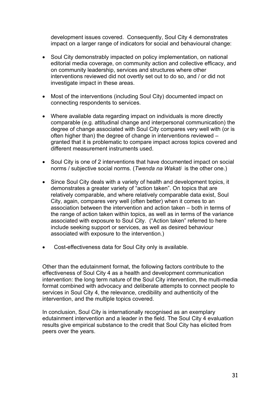development issues covered. Consequently, Soul City 4 demonstrates impact on a larger range of indicators for social and behavioural change:

- Soul City demonstrably impacted on policy implementation, on national editorial media coverage, on community action and collective efficacy, and on community leadership, services and structures where other interventions reviewed did not overtly set out to do so, and / or did not investigate impact in these areas.
- Most of the interventions (including Soul City) documented impact on connecting respondents to services.
- Where available data regarding impact on individuals is more directly comparable (e.g. attitudinal change and interpersonal communication) the degree of change associated with Soul City compares very well with (or is often higher than) the degree of change in interventions reviewed – granted that it is problematic to compare impact across topics covered and different measurement instruments used.
- Soul City is one of 2 interventions that have documented impact on social norms / subjective social norms. (*Twenda na Wakati* is the other one.)
- Since Soul City deals with a variety of health and development topics, it demonstrates a greater variety of "action taken". On topics that are relatively comparable, and where relatively comparable data exist, Soul City, again, compares very well (often better) when it comes to an association between the intervention and action taken – both in terms of the range of action taken within topics, as well as in terms of the variance associated with exposure to Soul City. ("Action taken" referred to here include seeking support or services, as well as desired behaviour associated with exposure to the intervention.)
- Cost-effectiveness data for Soul City only is available.

Other than the edutainment format, the following factors contribute to the effectiveness of Soul City 4 as a health and development communication intervention: the long term nature of the Soul City intervention, the multi-media format combined with advocacy and deliberate attempts to connect people to services in Soul City 4, the relevance, credibility and authenticity of the intervention, and the multiple topics covered.

In conclusion, Soul City is internationally recognised as an exemplary edutainment intervention and a leader in the field. The Soul City 4 evaluation results give empirical substance to the credit that Soul City has elicited from peers over the years.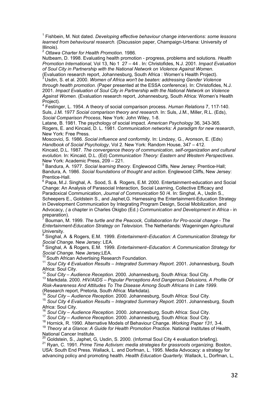1 Fishbein, M. Not dated. *Developing effective behaviour change interventions: some lessons learned from behavioural research.* (Discussion paper, Champaign-Urbana: University of Illinois).

2  *Ottawa Charter for Health Promotion.* 1986.

Nutbeam, D. 1998. Evaluating health promotion - progress, problems and solutions*. Health Promotion International*, Vol 13, No 1 27 – 44 . In: Christofides, N.J. 2001. *Impact Evaluation of Soul City in Partnership with the National Network on Violence Against Women.* 

(Evaluation research report, Johannesburg, South Africa : Women's Health Project).<br><sup>3</sup> Usdin, S. et al. 2000. *Women of Africa won't be beaten: addressing Gender Violence through health promotion.* (Paper presented at the ESSA conference). In: Christofides, N.J. 2001. *Impact Evaluation of Soul City in Partnership with the National Network on Violence Against Women.* (Evaluation research report, Johannesburg, South Africa: Women's Health Project).

4 Festinger, L. 1954. A theory of social comparison process. *Human Relations* 7, 117-140. Suls, J.M. 1977 *Social comparison theory and research.* In: Suls, J.M., Miller, R.L. (Eds), *Social Comparison Process*, New York: John Wiley, 1-8.

Latane, B. 1981. The psychology of social impact. *American Psychology* 36, 343-365. Rogers, E. and Kincaid, D. L. 1981. *Communication networks: A paradigm for new research*, New York: Free Press.

Moscovici, S. 1986. *Social influence and conformity.* In: Lindzey, G., Aronson, E. (Eds) *Handbook of Social Psychology*, Vol 2. New York: Random House, 347 – 412.

Kincaid, D.L. 1987. *The convergence theory of communication, self-organization and cultural evolution.* In: Kincaid, D.L. (Ed) *Communication Theory: Eastern and Western Perspectives*. New York: Academic Press, 209 – 221.

<sup>5</sup> Bandura, A. 1977. *Social learning theory*. Englewood Cliffs, New Jersey: Prentice-Hall; Bandura, A. 1986. *Social foundations of thought and action*. Englewood Cliffs, New Jersey: Prentice-Hall.

<sup>6</sup> Papa, M.J. Singhal, A. Sood, S. & Rogers, E.M. 2000. Entertainment-education and Social Change: An Analysis of Parasocial Interaction, Social Learning, Collective Efficacy and Paradoxical Communication, *Journal of Communication* 50 /4. In: Singhal, A., Usdin S.,

Scheepers E., Goldstein S., and Japhet,G. Harnessing the Entertainment-Education Strategy in Development Communication by Integrating Program Design, Social Mobilization, and Advocacy, *(* a chapter in Charles Okigbo (Ed.) *Communication and Development in Africa* - in preparation).

7 Bouman, M. 1999. *The turtle and the Peacock, Collaboration for Pro-social change - The Entertainment-Education Strategy on Television*. The Netherlands: Wageningen Agricultural University.

 Singhal, A & Rogers, E.M. 1999. *Entertainment–Education: A Communication Strategy for Social Change.* New Jersey: LEA.

9 Singhal, A & Rogers, E.M. 1999. *Entertainment–Education: A Communication Strategy for Social Change.* New Jersey;LEA.

<sup>11</sup> Soul City 4 Evaluation Results – Integrated Summary Report. 2001. Johannesburg, South Africa: Soul City.<br><sup>12</sup> Soul City – Audience Reception. 2000. Johannesburg, South Africa: Soul City.<br><sup>13</sup> Markdata. 2000. *HIV/AIDS – Popular Perceptions And Dangerous Delusions. A Profile Of* 

*Risk-Awareness And Attitudes To The Disease Among South Africans In Late 1999*.

 $14$  Soul City – Audience Reception. 2000. Johannesburg, South Africa: Soul City.<br> $15$  Soul City 4 Evaluation Results – Integrated Summary Report. 2001. Johannesburg, South<br>Africa: Soul City.

<sup>16</sup> Soul City – Audience Reception. 2000. Johannesburg, South Africa: Soul City.<br><sup>17</sup> Soul City – Audience Reception. 2000. Johannesburg, South Africa: Soul City.<br><sup>18</sup> Hornick, R. 1990. Alternative Models of Behaviour Cha

<sup>19</sup> *Theory at a Glance: A Guide for Health Promotion Practice.* National Institutes of Health, National Cancer Institute.<br><sup>20</sup> Goldstein. S.. Japhet. G. Usdin. S. 2000. (Informal Soul City 4 evaluation briefing).

<sup>21</sup> Rvan, C. 1991. Prime Time Activism: media strategies for grassroots organizing. Boston, USA: South End Press. Wallack, L. and Dorfman, L. 1995. Media Advocacy: a strategy for advancing policy and promoting health. *Health Education Quarterly.* Wallack, L, Dorfman, L,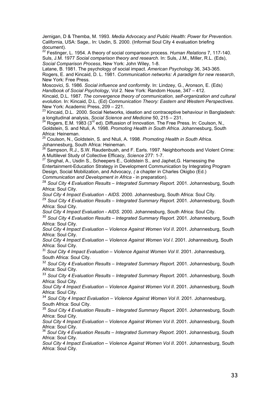Jernigan, D & Themba, M. 1993. *Media Advocacy and Public Health: Power for Prevention.* California, USA: Sage,. In: Usdin, S. 2000. (Informal Soul City 4 evaluation briefing document).

22 Festinger, L. 1954. A theory of social comparison process. *Human Relations* 7, 117-140. Suls, J.M. 1977 *Social comparison theory and research.* In: Suls, J.M., Miller, R.L. (Eds), *Social Comparison Process*, New York: John Wiley, 1-8.

Latane, B. 1981. The psychology of social impact. *American Psychology* 36, 343-365. Rogers, E. and Kincaid, D. L. 1981. *Communication networks: A paradigm for new research*, New York: Free Press.

Moscovici, S. 1986. *Social influence and conformity.* In: Lindzey, G., Aronson, E. (Eds) *Handbook of Social Psychology*, Vol 2. New York: Random House, 347 – 412.

Kincaid, D.L. 1987. *The convergence theory of communication, self-organization and cultural evolution.* In: Kincaid, D.L. (Ed) *Communication Theory: Eastern and Western Perspectives*. New York: Academic Press, 209 – 221.

23 Kincaid, D.L. 2000. Social Networks, ideation and contraceptive behaviour in Bangladesh: a longitudinal analysis, *Social Science and Medicine* 50, 215 – 231.

Rogers, E.M. 1983 (3<sup>rd</sup> ed). Diffussion of Innovation. The Free Press. In: Coulson, N., Goldstein, S. and Ntuli, A. 1998. *Promoting Health in South Africa*. Johannesburg, South Africa: Heineman.

25 Coulson, N., Goldstein, S. and Ntuli, A. 1998. *Promoting Health in South Africa*. Johannesburg, South Africa: Heineman.

 $^{26}$  Sampson, R.J., S.W. Raudenbush, and F. Earls. 1997. Neighborhoods and Violent Crime: A Multilevel Study of Collective Efficacy, *Science* 277: 1-7.

27 Singhal, A., Usdin S., Scheepers E., Goldstein S., and Japhet,G. Harnessing the Entertainment-Education Strategy in Development Communication by Integrating Program Design, Social Mobilization, and Advocacy, *(* a chapter in Charles Okigbo (Ed.) *Communication and Development in Africa* - in preparation).

<sup>28</sup> *Soul City 4 Evaluation Results – Integrated Summary Report.* 2001. Johannesburg, South Africa: Soul City.

*Soul City 4 Impact Evaluation - AIDS*. 2000. Johannesburg, South Africa: Soul City.

<sup>29</sup> *Soul City 4 Evaluation Results – Integrated Summary Report.* 2001. Johannesburg, South Africa: Soul City.

*Soul City 4 Impact Evaluation - AIDS*. 2000. Johannesburg, South Africa: Soul City.

<sup>30</sup> *Soul City 4 Evaluation Results – Integrated Summary Report.* 2001. Johannesburg, South Africa: Soul City.

*Soul City 4 Impact Evaluation – Violence Against Women Vol II*. 2001. Johannesburg, South Africa: Soul City.

*Soul City 4 Impact Evaluation – Violence Against Women Vol I*. 2001. Johannesburg, South Africa: Soul City.

<sup>31</sup> Soul City 4 Impact Evaluation – Violence Against Women Vol II. 2001. Johannesburg, South Africa: Soul City.

<sup>32</sup> *Soul City 4 Evaluation Results – Integrated Summary Report.* 2001. Johannesburg, South Africa: Soul City.

<sup>33</sup> *Soul City 4 Evaluation Results – Integrated Summary Report.* 2001. Johannesburg, South Africa: Soul City.

*Soul City 4 Impact Evaluation – Violence Against Women Vol II*. 2001. Johannesburg, South Africa: Soul City.

<sup>34</sup> Soul City 4 Impact Evaluation – Violence Against Women Vol II. 2001. Johannesburg, South Africa: Soul City.

<sup>35</sup> *Soul City 4 Evaluation Results – Integrated Summary Report.* 2001. Johannesburg, South Africa: Soul City.

*Soul City 4 Impact Evaluation – Violence Against Women Vol II. 2001. Johannesburg, South Africa: Soul City.* 

<sup>36</sup> Soul City 4 Evaluation Results – Integrated Summary Report. 2001. Johannesburg, South Africa: Soul City.

*Soul City 4 Impact Evaluation – Violence Against Women Vol II*. 2001. Johannesburg, South Africa: Soul City.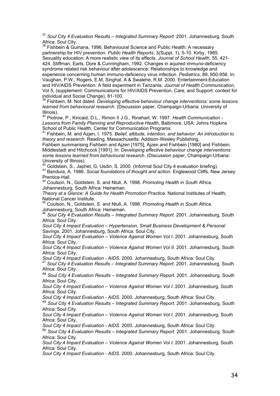<sup>37</sup> Soul City 4 Evaluation Results – Integrated Summary Report. 2001. Johannesburg, South Africa: Soul City.

Fishbein & Guinana, 1996. Behavioural Science and Public Health: A necessary partnership for HIV prevention. *Public Health Reports*, 3(Suppl. 1), 5-10. Kirby, 1985. Sexuality education: A more realistic view of its effects. *Journal of School Health*, 55, 421- 424. Stiffman, Earls, Dore & Cunningham, 1992. Changes in aquired immuno-deficiency syndrome related risk behaviour after adolescence: Relationships to knowledge and experience concerning human immuno-deficiency virus infection. *Pediatrics*, 89, 950-956. In: Vaughan, P.W., Rogers, E.M, Singhal, A & Swalehe, R.M. 2000. Entertainment-Education and HIV/AIDS Prevention: A field experiment in Tanzania, *Journal of Health Communication*, Vol 5, (supplement: Communications for HIV/AIDS Prevention, Care, and Support: context for individual and Social Change), 81-100.

39 Fishbein, M. Not dated. *Developing effective behaviour change interventions: some lessons learned from behavioural research.* (Discussion paper, Champaign-Urbana: University of Illinois).

40 Piotrow, P., Kincaid, D.L., Rimon II J.G., Rinehart, W. 1997. *Health Communication - Lessons from Family Planning and Reproductive Health*, Baltimore, USA: Johns Hopkins School of Public Health, Center for Communication Programs.

41 Fishbein, M. and Azjen, I. 1975. *Belief, attitude, intention, and behavior: An introduction to theory and research.* Reading, Massachusetts: Addison-Wesley Publishing.

Fishbein summarising Fishbein and Ajzen [1975], Ajzen and Fishbein [1980] and Fishbein, Middlestadt and Hitchcock [1991]. In: *Developing effective behaviour change interventions: some lessons learned from behavioural research.* (Discussion paper, Champaign-Urbana: University of Illinois).<br><sup>42</sup> Goldstein. S.. Japhet. G. Usdin. S. 2000. (Informal Soul City 4 evaluation briefing).

<sup>43</sup> Bandura, A. 1986. Social foundations of thought and action. Englewood Cliffs, New Jersey: Prentice-Hall.

44 Coulson, N., Goldstein, S. and Ntuli, A. 1998. *Promoting Health in South Africa*. Johannesburg, South Africa: Heineman.

*Theory at a Glance: A Guide for Health Promotion Practice.* National Institutes of Health, National Cancer Institute.

45 Coulson, N., Goldstein, S. and Ntuli, A. 1998. *Promoting Health in South Africa*. Johannesburg, South Africa: Heineman.

<sup>46</sup> *Soul City 4 Evaluation Results – Integrated Summary Report.* 2001. Johannesburg, South Africa: Soul City.

*Soul City 4 Impact Evaluation – Hypertension, Small Business Development & Personal Savings*. 2001. Johannesburg, South Africa: Soul City.

*Soul City 4 Impact Evaluation – Violence Against Women Vol I*. 2001. Johannesburg, South Africa: Soul City.

*Soul City 4 Impact Evaluation – Violence Against Women Vol II*. 2001. Johannesburg, South Africa: Soul City.

*Soul City 4 Impact Evaluation - AIDS*. 2000. Johannesburg, South Africa: Soul City. 47 *Soul City 4 Evaluation Results – Integrated Summary Report.* 2001. Johannesburg, South Africa: Soul City.

<sup>48</sup> *Soul City 4 Evaluation Results – Integrated Summary Report.* 2001. Johannesburg, South Africa: Soul City.

*Soul City 4 Impact Evaluation – Violence Against Women Vol I*. 2001. Johannesburg, South Africa: Soul City.

*Soul City 4 Impact Evaluation - AIDS*. 2000. Johannesburg, South Africa: Soul City.

<sup>49</sup> *Soul City 4 Evaluation Results – Integrated Summary Report.* 2001. Johannesburg, South Africa: Soul City.

*Soul City 4 Impact Evaluation – Violence Against Women Vol I*. 2001. Johannesburg, South Africa: Soul City.

*Soul City 4 Impact Evaluation - AIDS*. 2000. Johannesburg, South Africa: Soul City.

<sup>50</sup> *Soul City 4 Evaluation Results – Integrated Summary Report.* 2001. Johannesburg, South Africa: Soul City.

*Soul City 4 Impact Evaluation – Violence Against Women Vol I*. 2001. Johannesburg, South Africa: Soul City.

*Soul City 4 Impact Evaluation - AIDS*. 2000. Johannesburg, South Africa: Soul City.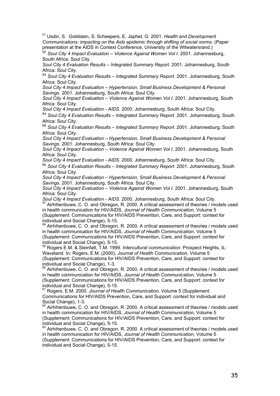51 Usdin, S. Goldstein, S. Scheepers, E. Japhet, G. 2001. *Health and Development Communications: impacting on the Aids epidemic through shifting of social norms.* (Paper presentation at the AIDS in Context Conference, University of the Witwatersrand.)

<sup>52</sup> *Soul City 4 Impact Evaluation – Violence Against Women Vol I*. 2001. Johannesburg, South Africa: Soul City.

*Soul City 4 Evaluation Results – Integrated Summary Report.* 2001. Johannesburg, South Africa: Soul City.

<sup>53</sup> *Soul City 4 Evaluation Results – Integrated Summary Report.* 2001. Johannesburg, South Africa: Soul City.

*Soul City 4 Impact Evaluation – Hypertension, Small Business Development & Personal Savings*. 2001. Johannesburg, South Africa: Soul City.

*Soul City 4 Impact Evaluation – Violence Against Women Vol I*. 2001. Johannesburg, South Africa: Soul City.

*Soul City 4 Impact Evaluation - AIDS*. 2000. Johannesburg, South Africa: Soul City.

<sup>54</sup> *Soul City 4 Evaluation Results – Integrated Summary Report.* 2001. Johannesburg, South Africa: Soul City.

<sup>55</sup> *Soul City 4 Evaluation Results – Integrated Summary Report.* 2001. Johannesburg, South Africa: Soul City.

*Soul City 4 Impact Evaluation – Hypertension, Small Business Development & Personal Savings*. 2001. Johannesburg, South Africa: Soul City.

*Soul City 4 Impact Evaluation – Violence Against Women Vol I*. 2001. Johannesburg, South Africa: Soul City.

*Soul City 4 Impact Evaluation - AIDS*. 2000. Johannesburg, South Africa: Soul City.

<sup>56</sup> *Soul City 4 Evaluation Results – Integrated Summary Report.* 2001. Johannesburg, South Africa: Soul City.

*Soul City 4 Impact Evaluation – Hypertension, Small Business Development & Personal Savings*. 2001. Johannesburg, South Africa: Soul City.

*Soul City 4 Impact Evaluation – Violence Against Women Vol I*. 2001. Johannesburg, South Africa: Soul City.

*Soul City 4 Impact Evaluation - AIDS.* 2000. Johannesburg, South Africa: Soul City.<br><sup>57</sup> Airhihenbuwe, C. O. and Obregon, R. 2000. A critical assessment of theories / models used in health communication for HIV/AIDS, *Journal of Health Communication,* Volume 5 (Supplement: Communications for HIV/AIDS Prevention, Care, and Support: context for individual and Social Change), 5-15.

Airhihenbuwe, C. O. and Obregon, R. 2000. A critical assessment of theories / models used in health communication for HIV/AIDS, *Journal of Health Communication,* Volume 5 (Supplement: Communications for HIV/AIDS Prevention, Care, and Support: context for individual and Social Change), 5-15.

59 Rogers E.M. & Steinfatt, T.M. 1999. *Intercultural communication*. Prospect Heights, IL: Waveland. In: Rogers, E.M. (2000), *Journal of Health Communication,* Volume 5 (Supplement: Communications for HIV/AIDS Prevention, Care, and Support: context for individual and Social Change), 1-3.

 $60$  Airhihenbuwe, C. O. and Obregon, R. 2000. A critical assessment of theories / models used in health communication for HIV/AIDS, *Journal of Health Communication,* Volume 5 (Supplement: Communications for HIV/AIDS Prevention, Care, and Support: context for individual and Social Change), 5-15.

61 Rogers, E.M. 2000. *Journal of Health Communication,* Volume 5 (Supplement: Communications for HIV/AIDS Prevention, Care, and Support: context for individual and Social Change), 1-3.

62 Airhihenbuwe, C. O. and Obregon, R. 2000. A critical assessment of theories / models used in health communication for HIV/AIDS, *Journal of Health Communication,* Volume 5 (Supplement: Communications for HIV/AIDS Prevention, Care, and Support: context for individual and Social Change), 5-15.

 $63$  Airhihenbuwe, C. O. and Obregon, R. 2000. A critical assessment of theories / models used in health communication for HIV/AIDS, *Journal of Health Communication,* Volume 5 (Supplement: Communications for HIV/AIDS Prevention, Care, and Support: context for individual and Social Change), 5-15.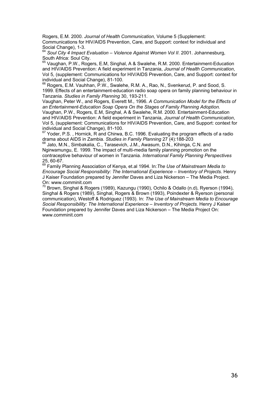Rogers, E.M. 2000. *Journal of Health Communication,* Volume 5 (Supplement: Communications for HIV/AIDS Prevention, Care, and Support: context for individual and Social Change), 1-3.

<sup>64</sup> Soul City 4 Impact Evaluation – Violence Against Women Vol II. 2001. Johannesburg, South Africa: Soul City.

65 Vaughan, P.W., Rogers, E.M, Singhal, A & Swalehe, R.M. 2000. Entertainment-Education and HIV/AIDS Prevention: A field experiment in Tanzania, *Journal of Health Communication*, Vol 5, (supplement: Communications for HIV/AIDS Prevention, Care, and Support: context for individual and Social Change), 81-100.

 $66$  Rogers, E.M. Vauhhan, P.W., Swalehe, R.M. A., Rao, N., Svenkerud, P. and Sood, S. 1999. Effects of an entertainment-education radio soap opera on family planning behaviour in Tanzania. *Studies in Family Planning* 30, 193-211.

Vaughan, Peter W., and Rogers, Everett M., 1996. *A Communication Model for the Effects of an Entertainment-Education Soap Opera On the Stages of Family Planning Adoption.* Vaughan, P.W., Rogers, E.M, Singhal, A & Swalehe, R.M. 2000. Entertainment-Education and HIV/AIDS Prevention: A field experiment in Tanzania, *Journal of Health Communication*, Vol 5, (supplement: Communications for HIV/AIDS Prevention, Care, and Support: context for individual and Social Change), 81-100.

 $67$  Yoder, P.S., Hornick, R and Chirwa, B.C. 1996. Evaluating the program effects of a radio drama about AIDS in Zambia. *Studies in Family Planning* 27 (4):188-203<br><sup>68</sup> Jato, M.N., Simbakalia, C., Tarasevich, J.M., Awasum, D.N., Kihinga, C.N. and

Ngirwamungu, E. 1999. The impact of multi-media family planning promotion on the contraceptive behaviour of women in Tanzania. *International Family Planning Perspectives* 25, 60-67.

69 Family Planning Association of Kenya, et.al 1994. In:*The Use of Mainstream Media to Encourage Social Responsibility: The International Experience – Inventory of Projects*. Henry J Kaiser Foundation prepared by Jennifer Daves and Liza Nickerson – The Media Project. On: www.comminit.com

Brown, Singhal & Rogers (1989), Kazungu (1990), Ochilo & Odallo (n.d), Ryerson (1994), Singhal & Rogers (1989), Singhal, Rogers & Brown (1993), Poindexter & Ryerson (personal communication), Westoff & Rodriguez (1993). In: *The Use of Mainstream Media to Encourage Social Responsibility: The International Experience – Inventory of Projects.* Henry J Kaiser Foundation prepared by Jennifer Daves and Liza Nickerson – The Media Project On: www.comminit.com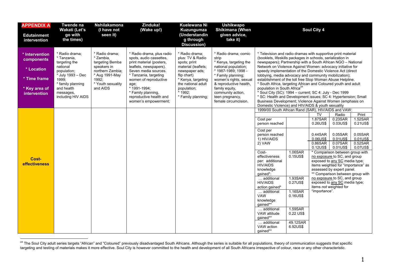<span id="page-44-0"></span>

| <b>APPENDIX A</b><br><b>Edutainment</b><br>intervention                                     | Twende na<br>Wakati (Let's<br>go with<br>the times)                                                                                                                           | <b>Nshilakamona</b><br>(I have not<br>seen it)                                                                                                | Zinduka!<br>(Wake up!)                                                                                                                                                                                                                                                                | <b>Kuelewana Ni</b><br>Kuzungumza<br>(Understandin<br>g through<br><b>Discussion</b> )                                                                                                                 | <b>Ushikwapo</b><br>Shikimana (When<br>given advice,<br>take it)                                                                                                                                                                                                   |                                                                                                                                                                                                                                                                                                                                                                                                                                                                                                                                                                                                                                                                                                                                                                                                            |                                                                   | Soul City 4                                                                                        |                                                                                                                                                                                                                                                                                                                                                                                  |                                                                            |
|---------------------------------------------------------------------------------------------|-------------------------------------------------------------------------------------------------------------------------------------------------------------------------------|-----------------------------------------------------------------------------------------------------------------------------------------------|---------------------------------------------------------------------------------------------------------------------------------------------------------------------------------------------------------------------------------------------------------------------------------------|--------------------------------------------------------------------------------------------------------------------------------------------------------------------------------------------------------|--------------------------------------------------------------------------------------------------------------------------------------------------------------------------------------------------------------------------------------------------------------------|------------------------------------------------------------------------------------------------------------------------------------------------------------------------------------------------------------------------------------------------------------------------------------------------------------------------------------------------------------------------------------------------------------------------------------------------------------------------------------------------------------------------------------------------------------------------------------------------------------------------------------------------------------------------------------------------------------------------------------------------------------------------------------------------------------|-------------------------------------------------------------------|----------------------------------------------------------------------------------------------------|----------------------------------------------------------------------------------------------------------------------------------------------------------------------------------------------------------------------------------------------------------------------------------------------------------------------------------------------------------------------------------|----------------------------------------------------------------------------|
| * Intervention<br>components<br>* Location<br>* Time frame<br>* Key area of<br>intervention | * Radio drama:<br>* Tanzania,<br>targeting the<br>national<br>population;<br>* July 1993 - Dec<br>1999:<br>* family planning<br>and health<br>messages,<br>including HIV AIDS | * Radio drama:<br>* Zambia.<br>targeting Bemba<br>speakers in<br>northern Zambia;<br>* Aug 1991-May<br>1992;<br>* Youth sexuality<br>and AIDS | * Radio drama, plus radio<br>spots, audio cassettes,<br>print material (posters,<br>leaflets, newspapers).<br>Seven media sources.<br>* Tanzania, targeting<br>women of reproductive<br>age;<br>* 1991-1994;<br>* Family planning,<br>reproductive health and<br>women's empowerment; | * Radio drama:<br>plus: TV & Radio<br>spots; print<br>material (leaflets;<br>newspaper ads;<br>flip chart)<br>* Kenya, targeting<br>the national adult<br>population;<br>* 1992;<br>* Family planning; | * Radio drama: comic<br>strip<br>* Kenya, targeting the<br>national population;<br>* 1987-1989; 1998 -<br>* Family planning;<br>women's rights, sexual<br>& reproductive health,<br>family equity,<br>community action,<br>teen pregnancy,<br>female circumcision. | * Television and radio dramas with supportive print material<br>(booklets, lifeskills packages in schools, serialization in<br>newspapers); Partnership with a South African NGO - National<br>Network on Violence Against Women: advocacy initiative for<br>speedy implementation of the Domestic Violence Act (direct<br>lobbying, media advocacy and community mobilization);<br>establishment of the toll free Stop Woman Abuse Helpline.<br>* South Africa, targeting African and Coloured youth and adult<br>population in South Africa <sup>24</sup><br>* Soul City (SC): 1994 - current; SC 4: July - Dec 1999<br>* SC: Health and Development issues; SC 4: Hypertension; Small<br>Business Development; Violence Against Women (emphasis on<br>Domestic Violence) and HIV/AIDS & youth sexuality |                                                                   |                                                                                                    |                                                                                                                                                                                                                                                                                                                                                                                  |                                                                            |
| Cost-<br><b>effectiveness</b>                                                               |                                                                                                                                                                               |                                                                                                                                               |                                                                                                                                                                                                                                                                                       |                                                                                                                                                                                                        |                                                                                                                                                                                                                                                                    | 1999/00 South African Rand (SAR), HIV/AIDS and VAW:<br>Cost per<br>person reached<br>Cost per<br>person reached<br>1) HIV/AIDS<br>2) VAW<br>Cost-<br>effectiveness<br>per: additional<br><b>HIV/AIDS</b><br>knowledge<br>gained*:<br>additional<br><b>HIV/AIDS</b><br>action gained*<br>additional<br>VAW                                                                                                                                                                                                                                                                                                                                                                                                                                                                                                  | 1.06SAR<br>0.15US\$<br>1.93SAR<br>0.27US\$<br>1.16SAR<br>0.16US\$ | <b>TV</b><br>1.87SAR<br>0.26US\$<br>$0.44$ SAR<br>0.06US\$<br>0.86SAR<br>0.12US\$<br>"importance". | Radio<br>0.23SAR<br>0.03US\$<br>0.05SAR<br>0.01US\$<br>0.07SAR<br>0.01US\$<br>* Comparison between group with<br>no exposure to SC, and group<br>exposed to any SC media type;<br>items weighted for "importance" as<br>assessed by expert panel.<br>** Comparison between group with<br>no exposure to SC, and group<br>exposed to any SC media type;<br>items not weighted for | Print<br>1.52SAR<br>0.21US\$<br>0.05SAR<br>0.01US\$<br>0.52SAR<br>0.07US\$ |
|                                                                                             |                                                                                                                                                                               |                                                                                                                                               |                                                                                                                                                                                                                                                                                       |                                                                                                                                                                                                        |                                                                                                                                                                                                                                                                    | knowledge<br>gained**<br>additional<br>VAW attitude<br>gained**<br>additional<br>VAW action<br>qained**                                                                                                                                                                                                                                                                                                                                                                                                                                                                                                                                                                                                                                                                                                    | 1.59SAR<br>0.22 US\$<br>49.12SAR<br>6.92US\$                      |                                                                                                    |                                                                                                                                                                                                                                                                                                                                                                                  |                                                                            |

 $^{24}$  The Soul City adult series targets "African" and "Coloured" previously disadvantaged South Africans. Although the series is suitable for all populations, theory of communication suggests that specific targeting and testing of materials makes it more effective. Soul City is however committed to the health and development of all South Africans irrespective of colour, race or any other characteristic.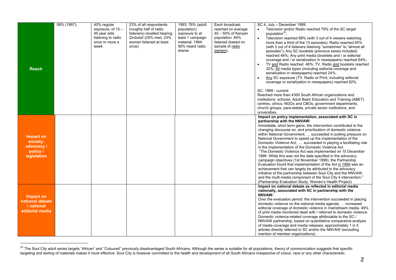<span id="page-45-0"></span>

| <b>Reach</b>                                                   | 58% (1997); | 40% regular<br>exposure, of $15 -$<br>45 year olds<br>listening to radio<br>once or more a<br>week | 23% of all respondents<br>(roughly half of radio)<br>listeners) recalled hearing<br>Zinduka! (25% men; 23%<br>women listened at least<br>once) | 1993: 76% (adult<br>population)<br>exposure to at<br>least 1 campaign<br>material; 1994:<br>56% heard radio<br>drama | Each broadcast<br>reached on average<br>40 - 50% of Kenyan<br>population. 84%<br>listened (based on<br>sample of radio<br>owners). | SC 4, July - December 1999:<br>$\bullet$<br>Television and/or Radio reached 79% of the SC target<br>population <sup>25</sup> ;<br>$\bullet$<br>Television reached 68% (with 3 out of 4 viewers watching<br>more than a third of the 13 episodes); Radio reached 65%<br>(with 3 out of 4 listeners listening "sometimes" to "almost all<br>episodes"); Any SC booklets (previous series included)<br>reached 46%; Any print media (booklets and / or editorial<br>coverage and / or serialization in newspapers) reached 64%;<br>TV and Radio reached 46%; TV, Radio and booklets reached<br>32%; All media types (including editorial coverage and<br>serialization in newspapers) reached 24%;<br>Any SC exposure (TV, Radio or Print, including editorial<br>coverage or serialization in newspapers) reached 82%.<br>SC, 1999 - current:<br>Reached more than 4300 South African organizations and<br>institutions: schools, Adult Basic Education and Training (ABET)<br>centres, clinics, NGOs and CBOs, government departments,<br>church groups, para-statals, private sector institutions, and<br>universities. |
|----------------------------------------------------------------|-------------|----------------------------------------------------------------------------------------------------|------------------------------------------------------------------------------------------------------------------------------------------------|----------------------------------------------------------------------------------------------------------------------|------------------------------------------------------------------------------------------------------------------------------------|-------------------------------------------------------------------------------------------------------------------------------------------------------------------------------------------------------------------------------------------------------------------------------------------------------------------------------------------------------------------------------------------------------------------------------------------------------------------------------------------------------------------------------------------------------------------------------------------------------------------------------------------------------------------------------------------------------------------------------------------------------------------------------------------------------------------------------------------------------------------------------------------------------------------------------------------------------------------------------------------------------------------------------------------------------------------------------------------------------------------------|
| Impact on<br>society:<br>advocacy /<br>policy /<br>legislation |             |                                                                                                    |                                                                                                                                                |                                                                                                                      |                                                                                                                                    | Impact on policy implementation, associated with SC in<br>partnership with the NNVAW:<br>Immediate, short term gains: the intervention contributed to the<br>changing discourse on, and prioritization of domestic violence<br>within National Government;  succeeded in putting pressure on<br>National Government to speed up the implementation of the<br>Domestic Violence Act;  succeeded in playing a facilitating role<br>in the implementation of the Domestic Violence Act.<br>"The Domestic Violence Act was implemented on 15 December<br>1999. While this was not the date specified in the advocacy<br>campaign objectives (1st November 1999), the Partnership<br>Evaluation found that implementation of the Act in 1999 was an<br>achievement that can largely be attributed to the advocacy<br>initiative of the partnership between Soul City and the NNVAW.<br>and the multi-media component of the Soul City 4 intervention."<br>(Partnership Evaluation Study, Women's Health Project)                                                                                                             |
| Impact on<br>national debate<br>/ national<br>editorial media  |             |                                                                                                    |                                                                                                                                                |                                                                                                                      |                                                                                                                                    | Impact on national debate as reflected in editorial media<br>nationally, associated with SC in partnership with the<br>NNVAW:<br>Over the evaluation period: the intervention succeeded in placing<br>domestic violence on the national media agenda;  increased<br>editorial coverage of domestic violence in mainstream media. 49%<br>of print media monitored dealt with / referred to domestic violence.<br>Domestic violence-related coverage attributable to the SC /<br>NNVAW partnership, based on quantitative comparative analysis<br>of media coverage and media releases; approximately 1 in 5<br>articles directly referred to SC and/or the NNVAW (excluding<br>mention of member organizations).                                                                                                                                                                                                                                                                                                                                                                                                         |

<sup>&</sup>lt;sup>25</sup> The Soul City adult series targets "African" and "Coloured" previously disadvantaged South Africans. Although the series is suitable for all populations, theory of communication suggests that specific targeting and testing of materials makes it more effective. Soul City is however committed to the health and development of all South Africans irrespective of colour, race or any other characteristic.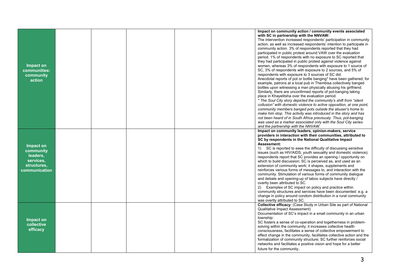| Impact on<br>communities:<br>community<br>action                                |  |  | Impact on community action / community events associated<br>with SC in partnership with the NNVAW:<br>The intervention increased respondents' participation in community<br>action, as well as increased respondents' intention to participate in<br>community action. 3% of respondents reported that they had<br>participated in public protest around VAW over the evaluation<br>period. 1% of respondents with no exposure to SC reported that<br>they had participated in public protest against violence against<br>women, whereas 3% of respondents with exposure to 1 source of<br>SC, 3% of respondents with exposure to 2 sources, and 5% of<br>respondents with exposure to 3 sources of SC did.<br>Anecdotal reports of pot or bottle banging* have been gathered; for<br>example, patrons at a local pub in Thembisa collectively banged<br>bottles upon witnessing a man physically abusing his girlfriend.<br>Similarly, there are unconfirmed reports of pot-banging taking<br>place in Khayelitsha over the evaluation period.<br>* The Soul City story depicted the community's shift from "silent"<br>collusion" with domestic violence to active opposition, at one point,<br>community members banged pots outside the abuser's home to<br>make him stop. This activity was introduced in the story and has<br>not been heard of in South Africa previously. Thus, pot-banging<br>was used as a marker associated only with the Soul City series<br>and the partnership with the NNVAW. |
|---------------------------------------------------------------------------------|--|--|--------------------------------------------------------------------------------------------------------------------------------------------------------------------------------------------------------------------------------------------------------------------------------------------------------------------------------------------------------------------------------------------------------------------------------------------------------------------------------------------------------------------------------------------------------------------------------------------------------------------------------------------------------------------------------------------------------------------------------------------------------------------------------------------------------------------------------------------------------------------------------------------------------------------------------------------------------------------------------------------------------------------------------------------------------------------------------------------------------------------------------------------------------------------------------------------------------------------------------------------------------------------------------------------------------------------------------------------------------------------------------------------------------------------------------------------------------------------------------------------------------------|
| Impact on<br>community<br>leaders,<br>services,<br>structures,<br>communication |  |  | Impact on community leaders, opinion-makers, service<br>providers in interaction with their communities, attributed to<br>SC by respondents in the National Qualitative Impact<br>Assessment:<br>1) SC is reported to ease the difficulty of discussing sensitive<br>issues (such as HIV/AIDS, youth sexuality and domestic violence);<br>respondents report that SC provides an opening / opportunity on<br>which to build discussion; SC is perceived as, and used as an<br>extension of community work; it shapes, supplements and<br>reinforces various forms of messages to, and interaction with the<br>community. Stimulation of various forms of community dialogue<br>and debate and opening-up of taboo subjects have directly /<br>overtly been attributed to SC.<br>2) Examples of SC impact on policy and practice within<br>community structures and services have been documented: e.g. a<br>change in policy around condom distribution in a rural community<br>was overtly attributed to SC.                                                                                                                                                                                                                                                                                                                                                                                                                                                                                                |
| Impact on<br>collective<br>efficacy                                             |  |  | Collective efficacy: (Case Study in Urban Site as part of National<br><b>Qualitative Impact Assessment)</b><br>Documentation of SC's impact in a small community in an urban<br>township:<br>SC fosters a sense of co-operation and togetherness in problem-<br>solving within the community; it increases collective health<br>consciousness, facilitates a sense of collective empowerment to<br>effect change in the community, facilitates collective action and the<br>formalization of community structure; SC further reinforces social<br>networks and facilitates a positive vision and hope for a better<br>future for the community.                                                                                                                                                                                                                                                                                                                                                                                                                                                                                                                                                                                                                                                                                                                                                                                                                                                              |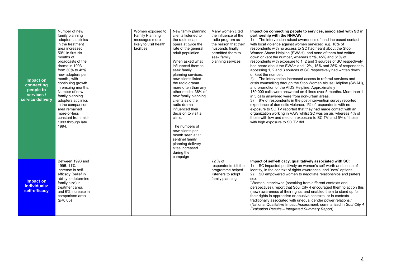| Impact on<br>connecting<br>people to<br>services /<br>service delivery | Number of new<br>family planning<br>adopters at clinics<br>in the treatment<br>area increased<br>50% in first six<br>months of<br>broadcasts of the<br>drama in 1993 -<br>from 30% to 45%<br>new adopters per<br>month, with<br>continuing growth<br>in ensuing months.<br>Number of new<br>family planning<br>adopters at clinics<br>in the comparison<br>area remained<br>more-or-less<br>constant from mid-<br>1993 through late<br>1994. | Women exposed to<br>Family Planning<br>messages more<br>likely to visit health<br>facilities | New family planning<br>clients listened to<br>the radio soap<br>opera at twice the<br>rate of the general<br>adult population<br>When asked what<br>influenced them to<br>seek family<br>planning services,<br>new clients listed<br>the radio drama<br>more often than any<br>other media. 38% of<br>new family planning<br>clients said the<br>radio drama<br>influenced their<br>decision to visit a<br>clinic.<br>The numbers of<br>new clients per<br>month seen at 11<br>sentinel family<br>planning delivery<br>sites increased<br>during the<br>campaign | Many women cited<br>the influence of the<br>radio program as<br>the reason that their<br>husbands finally<br>permitted them to<br>seek family<br>planning services | Impact on connecting people to services, associated with SC in<br>partnership with the NNVAW:<br>1) The intervention raised awareness of, and increased contact<br>with local violence against women services: e.g. 16% of<br>respondents with no access to SC had heard about the Stop<br>Women Abuse Helpline (SWAH), and none of them had written<br>down or kept the number, whereas 37%, 45% and 61% of<br>respondents with exposure to 1, 2 and 3 sources of SC respectively<br>had heard about the SWAH and 12%, 15% and 25% of respondents<br>accessing 1, 2 and 3 sources of SC respectively had written down<br>or kept the number.<br>2) The intervention increased access to referral services and<br>crisis counselling through the Stop Women Abuse Helpline (SWAH),<br>and promotion of the AIDS Helpline. Approximately<br>180 000 calls were answered on 4 lines over 5 months. More than 1<br>in 5 calls answered were from non-urban areas.<br>3) 8% of respondents in the post-intervention survey reported<br>experience of domestic violence. 1% of respondents with no<br>exposure to SC TV reported that they had made contact with an<br>organization working in VAW whilst SC was on air, whereas 4% of<br>those with low and medium exposure to SC TV, and 5% of those<br>with high exposure to SC TV did. |
|------------------------------------------------------------------------|----------------------------------------------------------------------------------------------------------------------------------------------------------------------------------------------------------------------------------------------------------------------------------------------------------------------------------------------------------------------------------------------------------------------------------------------|----------------------------------------------------------------------------------------------|------------------------------------------------------------------------------------------------------------------------------------------------------------------------------------------------------------------------------------------------------------------------------------------------------------------------------------------------------------------------------------------------------------------------------------------------------------------------------------------------------------------------------------------------------------------|--------------------------------------------------------------------------------------------------------------------------------------------------------------------|---------------------------------------------------------------------------------------------------------------------------------------------------------------------------------------------------------------------------------------------------------------------------------------------------------------------------------------------------------------------------------------------------------------------------------------------------------------------------------------------------------------------------------------------------------------------------------------------------------------------------------------------------------------------------------------------------------------------------------------------------------------------------------------------------------------------------------------------------------------------------------------------------------------------------------------------------------------------------------------------------------------------------------------------------------------------------------------------------------------------------------------------------------------------------------------------------------------------------------------------------------------------------------------------------------------------------------------|
| Impact on<br>individuals:<br>self-efficacy                             | Between 1993 and<br>1995: 11%<br>increase in self-<br>efficacy (belief in<br>ability to determine<br>family size) in<br>treatment area.<br>and 6% increase in<br>comparison area<br>$(p \le 0.05)$                                                                                                                                                                                                                                           |                                                                                              |                                                                                                                                                                                                                                                                                                                                                                                                                                                                                                                                                                  | 72 % of<br>respondents felt the<br>programme helped<br>listeners to adopt<br>family planning                                                                       | Impact of self-efficacy, qualitatively associated with SC:<br>1) SC impacted positively on women's self-worth and sense of<br>identity, in the context of rights-awareness, and "new" options.<br>2) SC empowered women to negotiate relationships and (safer)<br>sex:<br>"Women interviewed (speaking from different contexts and<br>perspectives), report that Soul City 4 encouraged them to act on this<br>(new) awareness of their rights, and enabled them to stand up for<br>their rights in oppressive or abusive contexts, or in contexts<br>traditionally associated with unequal gender power relations."<br>(National Qualitative Impact Assessment, summarized in Soul City 4<br>Evaluation Results - Integrated Summary Report)                                                                                                                                                                                                                                                                                                                                                                                                                                                                                                                                                                                         |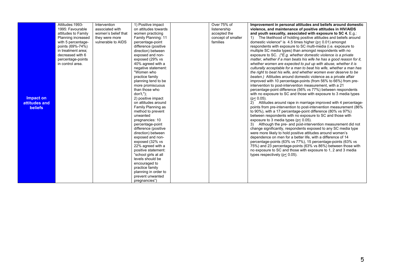|                  | Attitudes: 1993-    | Intervention        | 1) Positive impact   | Over 75% of        | Improvement in personal attitudes and beliefs around domestic        |
|------------------|---------------------|---------------------|----------------------|--------------------|----------------------------------------------------------------------|
|                  | 1995: Favourable    | associated with     | on attitudes towards | listenership       | violence, and maintenance of positive attitudes in HIV/AIDS          |
|                  | attitudes to Family | women's belief that | women practicing     | accepted the       | and youth sexuality, associated with exposure to SC 4. E.g.:         |
|                  | Planning increased  | they were more      | Family Planning: 11  | concept of smaller | The likelihood of holding positive attitudes and beliefs around      |
|                  | with 5 percentage-  | vulnerable to AIDS  | percentage-point     | families           | domestic violence* is $4.5$ times higher ( $p < 0.01$ ) amongst      |
|                  | points (69%-74%)    |                     | difference (positive |                    | respondents with exposure to SC multi-media (i.e. exposure to        |
|                  | in treatment area;  |                     | direction) between   |                    | multiple SC media types) than amongst respondents with no            |
|                  | decreased with 6    |                     | exposed and non-     |                    | exposure to SC. (*E.g. whether domestic violence is a private        |
|                  | percentage-points   |                     | exposed (29% vs      |                    | matter, whether if a man beats his wife he has a good reason for it. |
|                  | in control area.    |                     | 40% agreed with a    |                    | whether women are expected to put up with abuse, whether it is       |
|                  |                     |                     | negative statement:  |                    | culturally acceptable for a man to beat his wife, whether a man has  |
|                  |                     |                     | "Women who           |                    | the right to beat his wife, and whether women ever deserve to be     |
|                  |                     |                     | practice family      |                    | beaten.) Attitudes around domestic violence as a private affair      |
|                  |                     |                     | planning tend to be  |                    | improved with 10 percentage-points (from 56% to 66%) from pre-       |
|                  |                     |                     | more promiscuous     |                    | intervention to post-intervention measurement, with a 21             |
|                  |                     |                     | than those who       |                    | percentage-point difference (56% vs 77%) between respondents         |
|                  |                     |                     | don't, ");           |                    | with no exposure to SC and those with exposure to 3 media types      |
| <b>Impact on</b> |                     |                     | 2) positive impact   |                    | $(p < 0.05)$ .                                                       |
| attitudes and    |                     |                     | on attitudes around  |                    | 2) Attitudes around rape in marriage improved with 4 percentage-     |
| <b>beliefs</b>   |                     |                     | Family Planning as   |                    | points from pre-intervention to post-intervention measurement (86%)  |
|                  |                     |                     | method to prevent    |                    | to 90%), with a 17 percentage-point difference (80% vs 97%)          |
|                  |                     |                     | unwanted             |                    | between respondents with no exposure to SC and those with            |
|                  |                     |                     | pregnancies: 10      |                    | exposure to 3 media types ( $p < 0.05$ ).                            |
|                  |                     |                     | percentage-point     |                    | Although the pre- and post-intervention measurement did not          |
|                  |                     |                     | difference (positive |                    | change significantly, respondents exposed to any SC media type       |
|                  |                     |                     | direction) between   |                    | were more likely to hold positive attitudes around women's           |
|                  |                     |                     | exposed and non-     |                    | dependence on men for a better life, with a difference of 14         |
|                  |                     |                     | exposed (32% vs      |                    | percentage-points (63% vs 77%), 15 percentage-points (63% vs         |
|                  |                     |                     | 22% agreed with a    |                    | 75%) and 23 percentage-points (63% vs 86%) between those with        |
|                  |                     |                     | positive statement:  |                    | no exposure to SC and those with exposure to 1, 2 and 3 media        |
|                  |                     |                     | "school girls at all |                    | types respectively ( $p < 0.05$ ).                                   |
|                  |                     |                     | levels should be     |                    |                                                                      |
|                  |                     |                     | encouraged to        |                    |                                                                      |
|                  |                     |                     | practice family      |                    |                                                                      |
|                  |                     |                     | planning in order to |                    |                                                                      |
|                  |                     |                     | prevent unwanted     |                    |                                                                      |
|                  |                     |                     | pregnancies")        |                    |                                                                      |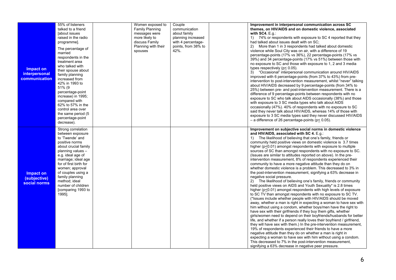| Impact on<br><i>interpersonal</i><br>communication | 55% of listeners<br>talked to a friend<br><b>fabout issues</b><br>raised in the radio<br>programme].<br>The percentage of<br>married<br>respondents in the<br>treatment area<br>who talked with<br>their spouse about<br>family planning<br>increased from<br>42% in 1993 to<br>51% (9<br>percentage-point<br>increase) in 1995;<br>compared with<br>62% to 57% in the<br>control area over<br>the same period (5)<br>percentage-point<br>decrease). | Women exposed to<br><b>Family Planning</b><br>messages were<br>more likely to<br>discuss Family<br>Planning with their<br>spouses | Couple<br>communication<br>about family<br>planning increased<br>with 4 percentage-<br>points, from 38% to<br>42%. | Improvement in interpersonal communication across SC<br>themes, on HIV/AIDS and on domestic violence, associated<br>with $SC4$ . E.g.:<br>1) 74% or respondents with exposure to SC 4 reported that they<br>had talked about issues dealt with on SC;<br>More than 1 in 3 respondents had talked about domestic<br>violence while Soul City was on air, with a difference of 19<br>percentage-points (17% vs 36%), 22 percentage-points (17% vs<br>39%) and 34 percentage-points (17% vs 51%) between those with<br>no exposure to SC and those with exposure to 1, 2 and 3 media<br>types respectively ( $p < 0.05$ ).<br>3) "Occasional" interpersonal communication around HIV/AIDS<br>improved with 6 percentage-points (from 37% to 43%) from pre-<br>intervention to post-intervention measurement, whilst "never" talking<br>about HIV/AIDS decreased by 9 percentage-points (from 34% to<br>25%) between pre- and post-intervention measurement. There is a<br>difference of 9 percentage-points between respondents with no<br>exposure to SC who talk about AIDS occasionally (38%) and those<br>with exposure to 3 SC media types who talk about AIDS<br>occasionally (47%). 40% of respondents with no exposure to SC<br>said they never talk about HIV/AIDS, whereas 14% of those with<br>exposure to 3 SC media types said they never discussed HIV/AIDS<br>- a difference of 26 percentage-points ( $p < 0.05$ ).                                                                                                                                                                                                                                                                                                                                                                                                                               |
|----------------------------------------------------|------------------------------------------------------------------------------------------------------------------------------------------------------------------------------------------------------------------------------------------------------------------------------------------------------------------------------------------------------------------------------------------------------------------------------------------------------|-----------------------------------------------------------------------------------------------------------------------------------|--------------------------------------------------------------------------------------------------------------------|----------------------------------------------------------------------------------------------------------------------------------------------------------------------------------------------------------------------------------------------------------------------------------------------------------------------------------------------------------------------------------------------------------------------------------------------------------------------------------------------------------------------------------------------------------------------------------------------------------------------------------------------------------------------------------------------------------------------------------------------------------------------------------------------------------------------------------------------------------------------------------------------------------------------------------------------------------------------------------------------------------------------------------------------------------------------------------------------------------------------------------------------------------------------------------------------------------------------------------------------------------------------------------------------------------------------------------------------------------------------------------------------------------------------------------------------------------------------------------------------------------------------------------------------------------------------------------------------------------------------------------------------------------------------------------------------------------------------------------------------------------------------------------------------------------------------------------------------------------------|
| <b>Impact on</b><br>(subjective)<br>social norms   | Strong correlation<br>between exposure<br>to 'Twende' and<br>positive norms<br>about crucial family<br>planning values -<br>e.g. ideal age of<br>marriage; ideal age<br>for of first birth for<br>women; approval<br>of couples using a<br>family planning<br>method; ideal<br>number of children<br>[comparing 1993 to<br>1995].                                                                                                                    |                                                                                                                                   |                                                                                                                    | Improvement on subjective social norms in domestic violence<br>and HIV/AIDS, associated with SC 4. E.g.:<br>1) The likelihood of believing that one's family, friends or<br>community held positive views on domestic violence is 3.7 times<br>higher ( $p \le 0.01$ ) amongst respondents with exposure to multiple<br>sources of SC than amongst respondents with no exposure to SC.<br>(Issues are similar to attitudes reported on above). In the pre-<br>intervention measurement, 8% of respondents experienced their<br>community to have a more negative attitude than they do on<br>whether domestic violence is a problem. This decreased to 3% in<br>the post-intervention measurement, signifying a 63% decrease in<br>negative social pressure.<br>The likelihood of believing one's family, friends or community<br>held positive views on AIDS and Youth Sexuality* is 2.8 times<br>higher (p<0.01) amongst respondents with high levels of exposure<br>to SC TV than amongst respondents with no exposure to SC TV.<br>(*Issues include whether people with HIV/AIDS should be moved<br>away, whether a man is right in expecting a woman to have sex with<br>him without using a condom, whether boys/men have the right to<br>have sex with their girlfriends if they buy them gifts, whether<br>girls/women need to depend on their boyfriends/husbands for better<br>life, and whether if a person really loves their boyfriend / girlfriend,<br>they will have sex with them.) In the pre-intervention measurement,<br>19% of respondents experienced their friends to have a more<br>negative attitude than they do on whether a man is right in<br>expecting a woman to have sex with him without using a condom.<br>This decreased to 7% in the post-intervention measurement,<br>signifying a 63% decrease in negative peer pressure. |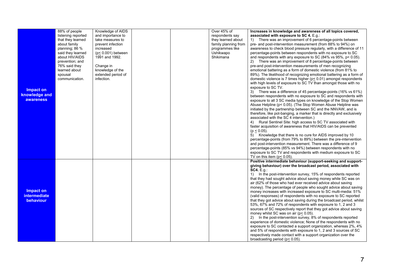|                                               | 88% of people<br>listening reported | Knowledge of AIDS<br>and importance to |  | Over 45% of<br>respondents say | Increases in knowledge and awareness of all topics covered,<br>associated with exposure to SC 4. E.g.:                                                                                                                                                                                                                                                                                                                                                                                                                                                                                          |
|-----------------------------------------------|-------------------------------------|----------------------------------------|--|--------------------------------|-------------------------------------------------------------------------------------------------------------------------------------------------------------------------------------------------------------------------------------------------------------------------------------------------------------------------------------------------------------------------------------------------------------------------------------------------------------------------------------------------------------------------------------------------------------------------------------------------|
|                                               | that they learned                   | take measures to                       |  | they learned about             | 1) There was an improvement of 6 percentage-points between                                                                                                                                                                                                                                                                                                                                                                                                                                                                                                                                      |
|                                               | about family                        | prevent infection                      |  | family planning from           | pre- and post-intervention measurement (from 88% to 94%) on                                                                                                                                                                                                                                                                                                                                                                                                                                                                                                                                     |
|                                               | planning; 86 %                      | increased                              |  | programmes like                | awareness to check blood pressure regularly, with a difference of 11                                                                                                                                                                                                                                                                                                                                                                                                                                                                                                                            |
|                                               | said they learned                   | $(p< 0.001)$ between                   |  | Ushikwapo                      | percentage-points between respondents with no exposure to SC                                                                                                                                                                                                                                                                                                                                                                                                                                                                                                                                    |
|                                               | about HIV/AIDS                      | 1991 and 1992.                         |  | Shikimana                      | and respondents with any exposure to SC $(84\% \text{ vs } 95\%, \text{ p} < 0.05)$ .                                                                                                                                                                                                                                                                                                                                                                                                                                                                                                           |
|                                               | prevention; and                     |                                        |  |                                | There was an improvement of 8 percentage-points between                                                                                                                                                                                                                                                                                                                                                                                                                                                                                                                                         |
|                                               | 76% said they                       | Change in                              |  |                                | pre-and post-intervention measurements of men recognizing                                                                                                                                                                                                                                                                                                                                                                                                                                                                                                                                       |
|                                               | learned about                       | knowledge of the                       |  |                                | emotional battering as a form of domestic violence (from 81% to                                                                                                                                                                                                                                                                                                                                                                                                                                                                                                                                 |
|                                               | spousal                             | extended period of                     |  |                                | 89%). The likelihood of recognizing emotional battering as a form of                                                                                                                                                                                                                                                                                                                                                                                                                                                                                                                            |
|                                               | communication.                      | infection.                             |  |                                | domestic violence is 7 times higher ( $p$ < 0.01) amongst respondents                                                                                                                                                                                                                                                                                                                                                                                                                                                                                                                           |
| Impact on                                     |                                     |                                        |  |                                | with high levels of exposure to SC TV than amongst those with no<br>exposure to SC TV.                                                                                                                                                                                                                                                                                                                                                                                                                                                                                                          |
| knowledge and                                 |                                     |                                        |  |                                | 3) There was a difference of 45 percentage-points (16% vs 61%)                                                                                                                                                                                                                                                                                                                                                                                                                                                                                                                                  |
| <b>awareness</b>                              |                                     |                                        |  |                                | between respondents with no exposure to SC and respondents with                                                                                                                                                                                                                                                                                                                                                                                                                                                                                                                                 |
|                                               |                                     |                                        |  |                                | exposure to all 3 SC media types on knowledge of the Stop Women<br>Abuse Helpline (p< 0.05). (The Stop Women Abuse Helpline was                                                                                                                                                                                                                                                                                                                                                                                                                                                                 |
|                                               |                                     |                                        |  |                                | initiated by the partnership between SC and the NNVAW, and is                                                                                                                                                                                                                                                                                                                                                                                                                                                                                                                                   |
|                                               |                                     |                                        |  |                                | therefore, like pot-banging, a marker that is directly and exclusively                                                                                                                                                                                                                                                                                                                                                                                                                                                                                                                          |
|                                               |                                     |                                        |  |                                | associated with the SC 4 intervention.)                                                                                                                                                                                                                                                                                                                                                                                                                                                                                                                                                         |
|                                               |                                     |                                        |  |                                | 4) Rural Sentinel Site: high access to SC TV associated with                                                                                                                                                                                                                                                                                                                                                                                                                                                                                                                                    |
|                                               |                                     |                                        |  |                                | faster acquisition of awareness that HIV/AIDS can be prevented                                                                                                                                                                                                                                                                                                                                                                                                                                                                                                                                  |
|                                               |                                     |                                        |  |                                | $(p < 0.05)$ .                                                                                                                                                                                                                                                                                                                                                                                                                                                                                                                                                                                  |
|                                               |                                     |                                        |  |                                | 5) Knowledge that there is no cure for AIDS improved by 10                                                                                                                                                                                                                                                                                                                                                                                                                                                                                                                                      |
|                                               |                                     |                                        |  |                                | percentage-points (from 79% to 89%) between the pre-intervention                                                                                                                                                                                                                                                                                                                                                                                                                                                                                                                                |
|                                               |                                     |                                        |  |                                | and post-intervention measurement. There was a difference of 9<br>percentage-points (85% vs 94%) between respondents with no                                                                                                                                                                                                                                                                                                                                                                                                                                                                    |
|                                               |                                     |                                        |  |                                | exposure to SC TV and respondents with medium exposure to SC                                                                                                                                                                                                                                                                                                                                                                                                                                                                                                                                    |
|                                               |                                     |                                        |  |                                | TV on this item ( $p < 0.05$ ).                                                                                                                                                                                                                                                                                                                                                                                                                                                                                                                                                                 |
|                                               |                                     |                                        |  |                                | Positive intermediate behaviour (support-seeking and support-                                                                                                                                                                                                                                                                                                                                                                                                                                                                                                                                   |
|                                               |                                     |                                        |  |                                | giving behaviour) over the broadcast period, associated with                                                                                                                                                                                                                                                                                                                                                                                                                                                                                                                                    |
|                                               |                                     |                                        |  |                                | SC4.E.g.:                                                                                                                                                                                                                                                                                                                                                                                                                                                                                                                                                                                       |
|                                               |                                     |                                        |  |                                | 1) In the post-intervention survey, 15% of respondents reported                                                                                                                                                                                                                                                                                                                                                                                                                                                                                                                                 |
|                                               |                                     |                                        |  |                                | that they had sought advice about saving money while SC was on                                                                                                                                                                                                                                                                                                                                                                                                                                                                                                                                  |
|                                               |                                     |                                        |  |                                | air (62% of those who had ever received advice about saving<br>money). The percentage of people who sought advice about saving                                                                                                                                                                                                                                                                                                                                                                                                                                                                  |
|                                               |                                     |                                        |  |                                |                                                                                                                                                                                                                                                                                                                                                                                                                                                                                                                                                                                                 |
|                                               |                                     |                                        |  |                                |                                                                                                                                                                                                                                                                                                                                                                                                                                                                                                                                                                                                 |
|                                               |                                     |                                        |  |                                |                                                                                                                                                                                                                                                                                                                                                                                                                                                                                                                                                                                                 |
|                                               |                                     |                                        |  |                                | 53%, 67% and 72% of respondents with exposure to 1, 2 and 3                                                                                                                                                                                                                                                                                                                                                                                                                                                                                                                                     |
|                                               |                                     |                                        |  |                                | sources of SC respectively report that they got advice about saving                                                                                                                                                                                                                                                                                                                                                                                                                                                                                                                             |
|                                               |                                     |                                        |  |                                | money whilst SC was on air ( $p < 0.05$ ).                                                                                                                                                                                                                                                                                                                                                                                                                                                                                                                                                      |
|                                               |                                     |                                        |  |                                |                                                                                                                                                                                                                                                                                                                                                                                                                                                                                                                                                                                                 |
|                                               |                                     |                                        |  |                                |                                                                                                                                                                                                                                                                                                                                                                                                                                                                                                                                                                                                 |
|                                               |                                     |                                        |  |                                |                                                                                                                                                                                                                                                                                                                                                                                                                                                                                                                                                                                                 |
|                                               |                                     |                                        |  |                                |                                                                                                                                                                                                                                                                                                                                                                                                                                                                                                                                                                                                 |
|                                               |                                     |                                        |  |                                |                                                                                                                                                                                                                                                                                                                                                                                                                                                                                                                                                                                                 |
| Impact on<br><b>intermediate</b><br>behaviour |                                     |                                        |  |                                | money increases with increased exposure to SC multi-media: 51%<br>(valid responses) of respondents with no exposure to SC reported<br>that they got advice about saving during the broadcast period, whilst<br>2) In the post-intervention survey, 8% of respondents reported<br>experience of domestic violence; None of the respondents with no<br>exposure to SC contacted a support organization, whereas 2%, 4%<br>and 5% of respondents with exposure to 1, 2 and 3 sources of SC<br>respectively made contact with a support organization over the<br>broadcasting period ( $p$ < 0.05). |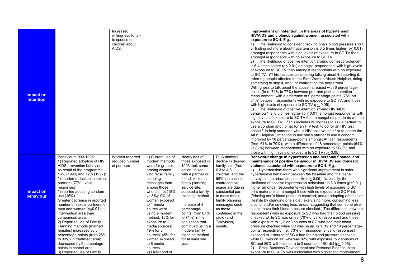|                  |                                | Increased           |                   |                    |                    | Improvement on 'intention' in the areas of hypertension,                     |
|------------------|--------------------------------|---------------------|-------------------|--------------------|--------------------|------------------------------------------------------------------------------|
|                  |                                | willingness to talk |                   |                    |                    | HIV/AIDS and violence against women, associated with                         |
|                  |                                | to spouse or        |                   |                    |                    | exposure to SC 4. $E.g.$ :                                                   |
|                  |                                | children about      |                   |                    |                    | 1) The likelihood to consider checking one's blood pressure and /            |
|                  |                                | AIDS.               |                   |                    |                    | or finding out more about hypertension is 3.5 times higher ( $p \le 0.01$ )  |
|                  |                                |                     |                   |                    |                    | amongst respondents with high levels of exposure to SC TV than               |
|                  |                                |                     |                   |                    |                    | amongst respondents with no exposure to SC TV.                               |
|                  |                                |                     |                   |                    |                    | 2) The likelihood of positive intention around domestic violence*            |
|                  |                                |                     |                   |                    |                    | is 6.4 times higher ( $p < 0.01$ ) amongst respondents with high levels      |
|                  |                                |                     |                   |                    |                    | of exposure to SC TV than amongst respondents with no exposure               |
|                  |                                |                     |                   |                    |                    | to SC TV. (*This includes considering talking about it, reporting it,        |
|                  |                                |                     |                   |                    |                    | referring people affected to the Stop Women Abuse Helpline, doing            |
|                  |                                |                     |                   |                    |                    | something to stop it, and / or confronting the perpetrator.)                 |
|                  |                                |                     |                   |                    |                    | Willingness to talk about the abuse increased with 6 percentage-             |
|                  |                                |                     |                   |                    |                    | points (from 71% to 77%) between pre- and post-intervention                  |
| Impact on        |                                |                     |                   |                    |                    | measurement, with a difference of 9 percentage-points (75% vs                |
| <b>intention</b> |                                |                     |                   |                    |                    | 84%) between respondents with no exposure to SC TV, and those                |
|                  |                                |                     |                   |                    |                    |                                                                              |
|                  |                                |                     |                   |                    |                    | with high levels of exposure to SC TV ( $p$ < 0.05).                         |
|                  |                                |                     |                   |                    |                    | 3) The likelihood of positive intention around HIV/AIDS                      |
|                  |                                |                     |                   |                    |                    | behaviour* is 6.8 times higher ( $p \le 0.01$ ) amongst respondents with     |
|                  |                                |                     |                   |                    |                    | high levels of exposure to SC TV than amongst respondents with no            |
|                  |                                |                     |                   |                    |                    | exposure to SC TV. (*This includes willingness to ask a partner to           |
|                  |                                |                     |                   |                    |                    | use a condom and / or go for an HIV test, to go for an HIV test              |
|                  |                                |                     |                   |                    |                    | oneself, to help someone who is HIV positive, and / or to phone the          |
|                  |                                |                     |                   |                    |                    | AIDS Helpline.) Intention to ask one's partner to use a condom               |
|                  |                                |                     |                   |                    |                    | improved by 18 percentage-points amongst African respondents                 |
|                  |                                |                     |                   |                    |                    | (from 61% to 79%), with a difference of 18 percentage-points $(64\%$         |
|                  |                                |                     |                   |                    |                    | vs 82%) between respondents with no exposure to SC TV, and                   |
|                  |                                |                     |                   |                    |                    | those with high levels of exposure to SC TV ( $p \le 0.05$ ).                |
|                  | Behaviour: 1993-1995:          | Women reported      | 1) Current use of | Nearly half of     | DHS analysis:      | Behaviour change in hypertension and personal finance, and                   |
|                  | 1) Reported adoption of HIV /  | reduced number      | modern methods    | those exposed in   | decline in desired | maintenance of positive behaviour in HIV/AIDS and domestic                   |
|                  | AIDS prevention behaviour      | of partners         | were far greater  | 1993 took some     | family size (from  | violence associated with exposure to SC 4. E.g.:                             |
|                  | as result of the programme -   |                     | among women       | action: talked     | 6.3 to 4.8         | 1) Hypertension: there was significant improvement in safer                  |
|                  | 16% (1996) and 12% (1997):     |                     | who recall family | with a partner or  | children) and the  | hypertension behaviour between the baseline and final panel                  |
|                  | * reported reduction in sexual |                     | planning          | friend; visited a  | 58% increase in    | surveys in the urban sentinel site ( $p \le 0.05$ ). Nationally, the         |
|                  | partners (77% - valid          |                     | messages than     | family planning    | contraceptive      | likelihood of positive hypertension behaviour* is $3.3$ times ( $p < 0.01$ ) |
|                  | responses)                     |                     | among those       | service site:      | usage are due in   | higher amongst respondents with high levels of exposure to SC                |
| Impact on        | * reported adopting condom     |                     | who did not (18%  | adopted a family   | substantial part   | print material than amongst those with no exposure to SC Print.              |
| behaviour        | use (15%)                      |                     | vs 3%): 9% of     | planning method.   | to mass media      | (*Having one's blood pressure checked; and/or adopting a healthier           |
|                  | Greater decrease in reported   |                     | women exposed     |                    | family planning    | lifestyle by changing one's diet, exercising more, consuming less            |
|                  | number of sexual partners for  |                     | to 1 media        | Increase of 4      | messages such      | alcohol and/or smoking less; and/or suggesting that someone else             |
|                  | men and women $(p<0.01)$ in    |                     | source were       | percentage-        | as those           | should have their blood pressure checked.) The difference between            |
|                  | intervention area than         |                     | using a modern    | points (from 67%   | contained in the   | respondents with no exposure to SC who had their blood pressure              |
|                  | comparison area.               |                     | method; 15% for   | to $71\%$ ) in the | radio (and         | checked while SC was on air (70% of valid responses) and those               |
|                  | 2) Reported use of Family      |                     | exposure to 2     | population that    | Television)        | with exposure to 1, 2 or 3 sources of SC who had their blood                 |
|                  | Planning methods (married      |                     | media sources:    | continued using a  | serials.           | pressure checked while SC was on air, is 3, 12 and 19 percentage-            |
|                  | females) increased by 8        |                     | 19% for 3         | modern family      |                    | points respectively; i.e. 73% of respondents (valid responses)               |
|                  | percentage-points (from 25%    |                     | sources; 45% for  | planning method    |                    | exposed to 1 source of SC 4 had their blood pressure checked                 |
|                  |                                |                     |                   | for at least one   |                    | while SC was on air, whereas 82% with exposure to 2 sources of               |
|                  | to 33%) in treatment area;     |                     | women exposed     |                    |                    |                                                                              |
|                  | decreased by 5 percentage-     |                     | to 6 media        | year.              |                    | SC and 89% with exposure to 3 sources of SC did ( $p \le 0.05$ ).            |
|                  | points in control area         |                     | sources.          |                    |                    | 2) Small Business Development and Personal Finance: high                     |
|                  | 3) Reported use of Family      |                     | 2) Likelihood of  |                    |                    | exposure to SC 4 TV was associated with significant improvement              |